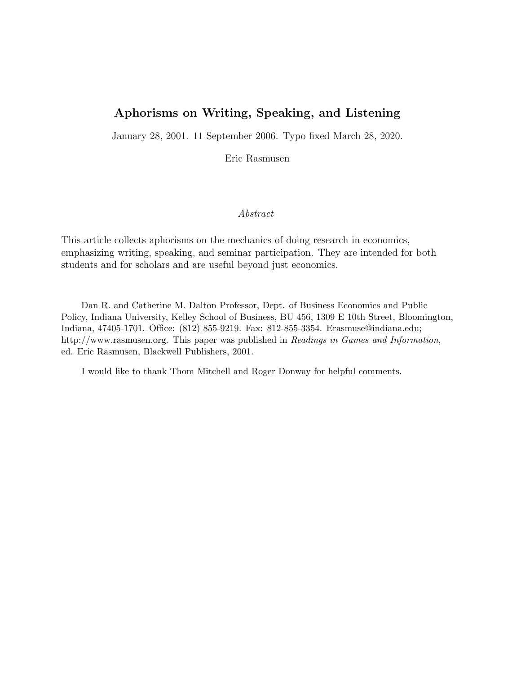# Aphorisms on Writing, Speaking, and Listening

January 28, 2001. 11 September 2006. Typo fixed March 28, 2020.

Eric Rasmusen

#### Abstract

This article collects aphorisms on the mechanics of doing research in economics, emphasizing writing, speaking, and seminar participation. They are intended for both students and for scholars and are useful beyond just economics.

Dan R. and Catherine M. Dalton Professor, Dept. of Business Economics and Public Policy, Indiana University, Kelley School of Business, BU 456, 1309 E 10th Street, Bloomington, Indiana, 47405-1701. Office: (812) 855-9219. Fax: 812-855-3354. Erasmuse@indiana.edu; http://www.rasmusen.org. This paper was published in Readings in Games and Information, ed. Eric Rasmusen, Blackwell Publishers, 2001.

I would like to thank Thom Mitchell and Roger Donway for helpful comments.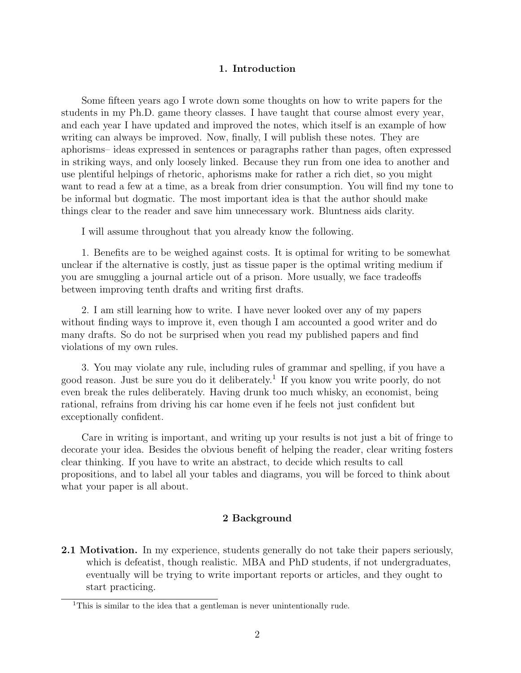### 1. Introduction

Some fifteen years ago I wrote down some thoughts on how to write papers for the students in my Ph.D. game theory classes. I have taught that course almost every year, and each year I have updated and improved the notes, which itself is an example of how writing can always be improved. Now, finally, I will publish these notes. They are aphorisms– ideas expressed in sentences or paragraphs rather than pages, often expressed in striking ways, and only loosely linked. Because they run from one idea to another and use plentiful helpings of rhetoric, aphorisms make for rather a rich diet, so you might want to read a few at a time, as a break from drier consumption. You will find my tone to be informal but dogmatic. The most important idea is that the author should make things clear to the reader and save him unnecessary work. Bluntness aids clarity.

I will assume throughout that you already know the following.

1. Benefits are to be weighed against costs. It is optimal for writing to be somewhat unclear if the alternative is costly, just as tissue paper is the optimal writing medium if you are smuggling a journal article out of a prison. More usually, we face tradeoffs between improving tenth drafts and writing first drafts.

2. I am still learning how to write. I have never looked over any of my papers without finding ways to improve it, even though I am accounted a good writer and do many drafts. So do not be surprised when you read my published papers and find violations of my own rules.

3. You may violate any rule, including rules of grammar and spelling, if you have a good reason. Just be sure you do it deliberately.<sup>1</sup> If you know you write poorly, do not even break the rules deliberately. Having drunk too much whisky, an economist, being rational, refrains from driving his car home even if he feels not just confident but exceptionally confident.

Care in writing is important, and writing up your results is not just a bit of fringe to decorate your idea. Besides the obvious benefit of helping the reader, clear writing fosters clear thinking. If you have to write an abstract, to decide which results to call propositions, and to label all your tables and diagrams, you will be forced to think about what your paper is all about.

### 2 Background

2.1 Motivation. In my experience, students generally do not take their papers seriously, which is defeatist, though realistic. MBA and PhD students, if not undergraduates, eventually will be trying to write important reports or articles, and they ought to start practicing.

<sup>&</sup>lt;sup>1</sup>This is similar to the idea that a gentleman is never unintentionally rude.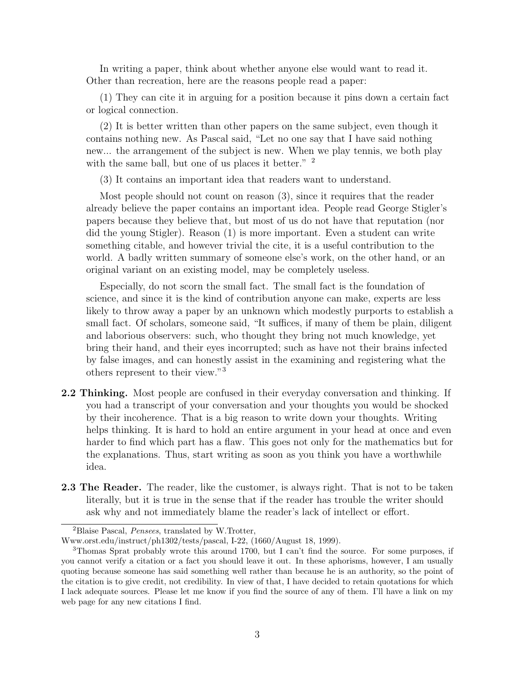In writing a paper, think about whether anyone else would want to read it. Other than recreation, here are the reasons people read a paper:

(1) They can cite it in arguing for a position because it pins down a certain fact or logical connection.

(2) It is better written than other papers on the same subject, even though it contains nothing new. As Pascal said, "Let no one say that I have said nothing new... the arrangement of the subject is new. When we play tennis, we both play with the same ball, but one of us places it better." <sup>2</sup>

(3) It contains an important idea that readers want to understand.

Most people should not count on reason (3), since it requires that the reader already believe the paper contains an important idea. People read George Stigler's papers because they believe that, but most of us do not have that reputation (nor did the young Stigler). Reason (1) is more important. Even a student can write something citable, and however trivial the cite, it is a useful contribution to the world. A badly written summary of someone else's work, on the other hand, or an original variant on an existing model, may be completely useless.

Especially, do not scorn the small fact. The small fact is the foundation of science, and since it is the kind of contribution anyone can make, experts are less likely to throw away a paper by an unknown which modestly purports to establish a small fact. Of scholars, someone said, "It suffices, if many of them be plain, diligent and laborious observers: such, who thought they bring not much knowledge, yet bring their hand, and their eyes incorrupted; such as have not their brains infected by false images, and can honestly assist in the examining and registering what the others represent to their view."<sup>3</sup>

- 2.2 Thinking. Most people are confused in their everyday conversation and thinking. If you had a transcript of your conversation and your thoughts you would be shocked by their incoherence. That is a big reason to write down your thoughts. Writing helps thinking. It is hard to hold an entire argument in your head at once and even harder to find which part has a flaw. This goes not only for the mathematics but for the explanations. Thus, start writing as soon as you think you have a worthwhile idea.
- **2.3 The Reader.** The reader, like the customer, is always right. That is not to be taken literally, but it is true in the sense that if the reader has trouble the writer should ask why and not immediately blame the reader's lack of intellect or effort.

<sup>2</sup>Blaise Pascal, Pensees, translated by W.Trotter,

Www.orst.edu/instruct/ph1302/tests/pascal, I-22, (1660/August 18, 1999).

<sup>3</sup>Thomas Sprat probably wrote this around 1700, but I can't find the source. For some purposes, if you cannot verify a citation or a fact you should leave it out. In these aphorisms, however, I am usually quoting because someone has said something well rather than because he is an authority, so the point of the citation is to give credit, not credibility. In view of that, I have decided to retain quotations for which I lack adequate sources. Please let me know if you find the source of any of them. I'll have a link on my web page for any new citations I find.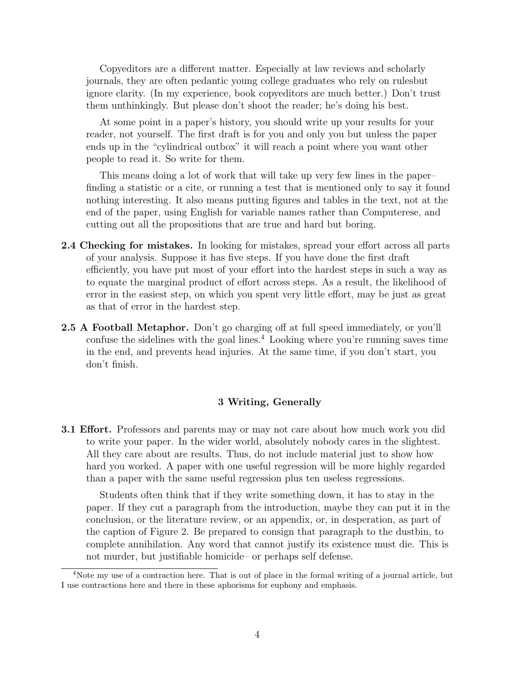Copyeditors are a different matter. Especially at law reviews and scholarly journals, they are often pedantic young college graduates who rely on rulesbut ignore clarity. (In my experience, book copyeditors are much better.) Don't trust them unthinkingly. But please don't shoot the reader; he's doing his best.

At some point in a paper's history, you should write up your results for your reader, not yourself. The first draft is for you and only you but unless the paper ends up in the "cylindrical outbox" it will reach a point where you want other people to read it. So write for them.

This means doing a lot of work that will take up very few lines in the paper– finding a statistic or a cite, or running a test that is mentioned only to say it found nothing interesting. It also means putting figures and tables in the text, not at the end of the paper, using English for variable names rather than Computerese, and cutting out all the propositions that are true and hard but boring.

- 2.4 Checking for mistakes. In looking for mistakes, spread your effort across all parts of your analysis. Suppose it has five steps. If you have done the first draft efficiently, you have put most of your effort into the hardest steps in such a way as to equate the marginal product of effort across steps. As a result, the likelihood of error in the easiest step, on which you spent very little effort, may be just as great as that of error in the hardest step.
- 2.5 A Football Metaphor. Don't go charging off at full speed immediately, or you'll confuse the sidelines with the goal lines.<sup> $4$ </sup> Looking where you're running saves time in the end, and prevents head injuries. At the same time, if you don't start, you don't finish.

### 3 Writing, Generally

3.1 Effort. Professors and parents may or may not care about how much work you did to write your paper. In the wider world, absolutely nobody cares in the slightest. All they care about are results. Thus, do not include material just to show how hard you worked. A paper with one useful regression will be more highly regarded than a paper with the same useful regression plus ten useless regressions.

Students often think that if they write something down, it has to stay in the paper. If they cut a paragraph from the introduction, maybe they can put it in the conclusion, or the literature review, or an appendix, or, in desperation, as part of the caption of Figure 2. Be prepared to consign that paragraph to the dustbin, to complete annihilation. Any word that cannot justify its existence must die. This is not murder, but justifiable homicide– or perhaps self defense.

<sup>4</sup>Note my use of a contraction here. That is out of place in the formal writing of a journal article, but I use contractions here and there in these aphorisms for euphony and emphasis.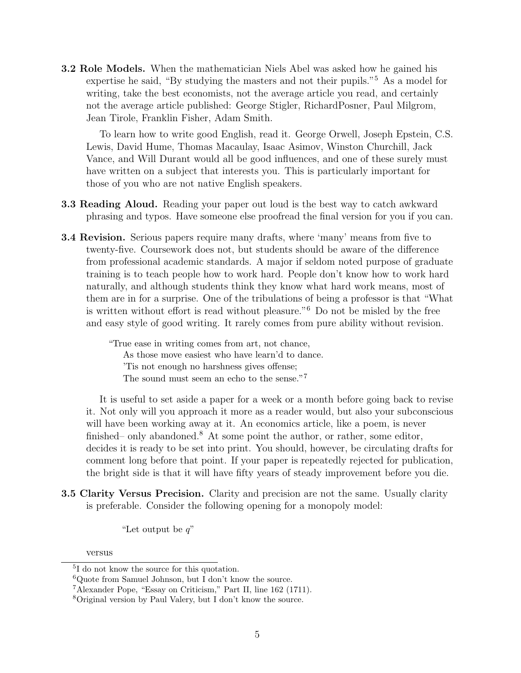3.2 Role Models. When the mathematician Niels Abel was asked how he gained his expertise he said, "By studying the masters and not their pupils."<sup>5</sup> As a model for writing, take the best economists, not the average article you read, and certainly not the average article published: George Stigler, RichardPosner, Paul Milgrom, Jean Tirole, Franklin Fisher, Adam Smith.

To learn how to write good English, read it. George Orwell, Joseph Epstein, C.S. Lewis, David Hume, Thomas Macaulay, Isaac Asimov, Winston Churchill, Jack Vance, and Will Durant would all be good influences, and one of these surely must have written on a subject that interests you. This is particularly important for those of you who are not native English speakers.

- 3.3 Reading Aloud. Reading your paper out loud is the best way to catch awkward phrasing and typos. Have someone else proofread the final version for you if you can.
- 3.4 Revision. Serious papers require many drafts, where 'many' means from five to twenty-five. Coursework does not, but students should be aware of the difference from professional academic standards. A major if seldom noted purpose of graduate training is to teach people how to work hard. People don't know how to work hard naturally, and although students think they know what hard work means, most of them are in for a surprise. One of the tribulations of being a professor is that "What is written without effort is read without pleasure."<sup>6</sup> Do not be misled by the free and easy style of good writing. It rarely comes from pure ability without revision.

"True ease in writing comes from art, not chance, As those move easiest who have learn'd to dance. 'Tis not enough no harshness gives offense; The sound must seem an echo to the sense."<sup>7</sup>

It is useful to set aside a paper for a week or a month before going back to revise it. Not only will you approach it more as a reader would, but also your subconscious will have been working away at it. An economics article, like a poem, is never finished– only abandoned.<sup>8</sup> At some point the author, or rather, some editor, decides it is ready to be set into print. You should, however, be circulating drafts for comment long before that point. If your paper is repeatedly rejected for publication, the bright side is that it will have fifty years of steady improvement before you die.

3.5 Clarity Versus Precision. Clarity and precision are not the same. Usually clarity is preferable. Consider the following opening for a monopoly model:

"Let output be  $q$ "

versus

<sup>5</sup> I do not know the source for this quotation.

 ${}^{6}$ Quote from Samuel Johnson, but I don't know the source.

<sup>7</sup>Alexander Pope, "Essay on Criticism," Part II, line 162 (1711).

<sup>8</sup>Original version by Paul Valery, but I don't know the source.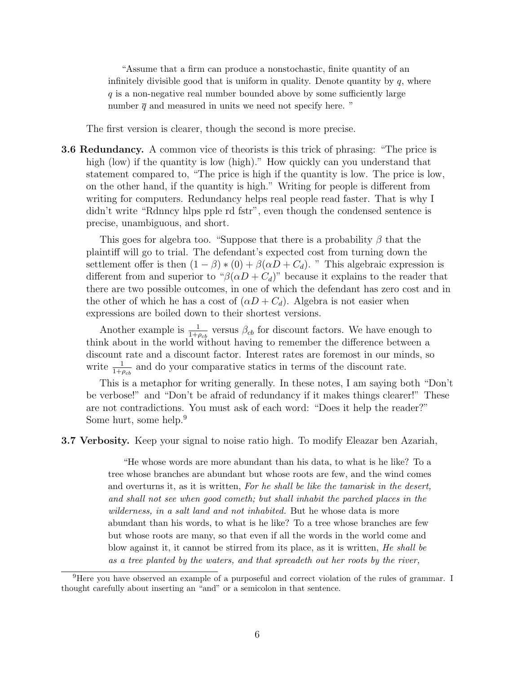"Assume that a firm can produce a nonstochastic, finite quantity of an infinitely divisible good that is uniform in quality. Denote quantity by  $q$ , where  $q$  is a non-negative real number bounded above by some sufficiently large number  $\bar{q}$  and measured in units we need not specify here. "

The first version is clearer, though the second is more precise.

3.6 Redundancy. A common vice of theorists is this trick of phrasing: "The price is high (low) if the quantity is low (high)." How quickly can you understand that statement compared to, "The price is high if the quantity is low. The price is low, on the other hand, if the quantity is high." Writing for people is different from writing for computers. Redundancy helps real people read faster. That is why I didn't write "Rdnncy hlps pple rd fstr", even though the condensed sentence is precise, unambiguous, and short.

This goes for algebra too. "Suppose that there is a probability  $\beta$  that the plaintiff will go to trial. The defendant's expected cost from turning down the settlement offer is then  $(1 - \beta) * (0) + \beta(\alpha D + C_d)$ . "This algebraic expression is different from and superior to " $\beta(\alpha D + C_d)$ " because it explains to the reader that there are two possible outcomes, in one of which the defendant has zero cost and in the other of which he has a cost of  $(\alpha D + C_d)$ . Algebra is not easier when expressions are boiled down to their shortest versions.

Another example is  $\frac{1}{1+\rho_{cb}}$  versus  $\beta_{cb}$  for discount factors. We have enough to think about in the world without having to remember the difference between a discount rate and a discount factor. Interest rates are foremost in our minds, so write  $\frac{1}{1+\rho_{cb}}$  and do your comparative statics in terms of the discount rate.

This is a metaphor for writing generally. In these notes, I am saying both "Don't be verbose!" and "Don't be afraid of redundancy if it makes things clearer!" These are not contradictions. You must ask of each word: "Does it help the reader?" Some hurt, some help.<sup>9</sup>

3.7 Verbosity. Keep your signal to noise ratio high. To modify Eleazar ben Azariah,

"He whose words are more abundant than his data, to what is he like? To a tree whose branches are abundant but whose roots are few, and the wind comes and overturns it, as it is written, For he shall be like the tamarisk in the desert, and shall not see when good cometh; but shall inhabit the parched places in the wilderness, in a salt land and not inhabited. But he whose data is more abundant than his words, to what is he like? To a tree whose branches are few but whose roots are many, so that even if all the words in the world come and blow against it, it cannot be stirred from its place, as it is written, He shall be as a tree planted by the waters, and that spreadeth out her roots by the river,

<sup>&</sup>lt;sup>9</sup>Here you have observed an example of a purposeful and correct violation of the rules of grammar. I thought carefully about inserting an "and" or a semicolon in that sentence.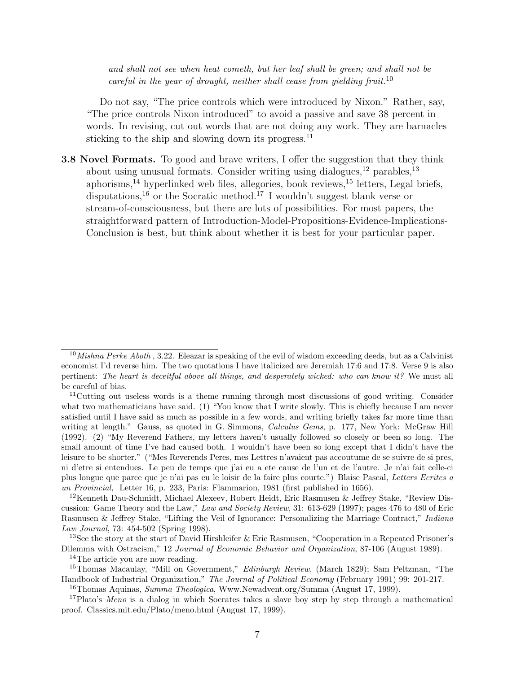and shall not see when heat cometh, but her leaf shall be green; and shall not be careful in the year of drought, neither shall cease from yielding fruit.<sup>10</sup>

Do not say, "The price controls which were introduced by Nixon." Rather, say, "The price controls Nixon introduced" to avoid a passive and save 38 percent in words. In revising, cut out words that are not doing any work. They are barnacles sticking to the ship and slowing down its progress.<sup>11</sup>

3.8 Novel Formats. To good and brave writers, I offer the suggestion that they think about using unusual formats. Consider writing using dialogues,  $^{12}$  parables,  $^{13}$ aphorisms,<sup>14</sup> hyperlinked web files, allegories, book reviews,<sup>15</sup> letters, Legal briefs, disputations,<sup>16</sup> or the Socratic method.<sup>17</sup> I wouldn't suggest blank verse or stream-of-consciousness, but there are lots of possibilities. For most papers, the straightforward pattern of Introduction-Model-Propositions-Evidence-Implications-Conclusion is best, but think about whether it is best for your particular paper.

<sup>14</sup>The article you are now reading.

 $10$ Mishna Perke Aboth, 3.22. Eleazar is speaking of the evil of wisdom exceeding deeds, but as a Calvinist economist I'd reverse him. The two quotations I have italicized are Jeremiah 17:6 and 17:8. Verse 9 is also pertinent: The heart is deceitful above all things, and desperately wicked: who can know it? We must all be careful of bias.

<sup>&</sup>lt;sup>11</sup>Cutting out useless words is a theme running through most discussions of good writing. Consider what two mathematicians have said. (1) "You know that I write slowly. This is chiefly because I am never satisfied until I have said as much as possible in a few words, and writing briefly takes far more time than writing at length." Gauss, as quoted in G. Simmons, *Calculus Gems*, p. 177, New York: McGraw Hill (1992). (2) "My Reverend Fathers, my letters haven't usually followed so closely or been so long. The small amount of time I've had caused both. I wouldn't have been so long except that I didn't have the leisure to be shorter." ("Mes Reverends Peres, mes Lettres n'avaient pas accoutume de se suivre de si pres, ni d'etre si entendues. Le peu de temps que j'ai eu a ete cause de l'un et de l'autre. Je n'ai fait celle-ci plus longue que parce que je n'ai pas eu le loisir de la faire plus courte.") Blaise Pascal, Letters Ecrites a un Provincial, Letter 16, p. 233, Paris: Flammarion, 1981 (first published in 1656).

<sup>&</sup>lt;sup>12</sup>Kenneth Dau-Schmidt, Michael Alexeev, Robert Heidt, Eric Rasmusen & Jeffrey Stake, "Review Discussion: Game Theory and the Law," Law and Society Review, 31: 613-629 (1997); pages 476 to 480 of Eric Rasmusen & Jeffrey Stake, "Lifting the Veil of Ignorance: Personalizing the Marriage Contract," Indiana Law Journal, 73: 454-502 (Spring 1998).

<sup>&</sup>lt;sup>13</sup>See the story at the start of David Hirshleifer & Eric Rasmusen, "Cooperation in a Repeated Prisoner's Dilemma with Ostracism," 12 Journal of Economic Behavior and Organization, 87-106 (August 1989).

<sup>&</sup>lt;sup>15</sup>Thomas Macaulay, "Mill on Government," *Edinburgh Review*, (March 1829); Sam Peltzman, "The Handbook of Industrial Organization," The Journal of Political Economy (February 1991) 99: 201-217.

<sup>&</sup>lt;sup>16</sup>Thomas Aquinas, Summa Theologica, Www.Newadvent.org/Summa (August 17, 1999).

<sup>&</sup>lt;sup>17</sup>Plato's Meno is a dialog in which Socrates takes a slave boy step by step through a mathematical proof. Classics.mit.edu/Plato/meno.html (August 17, 1999).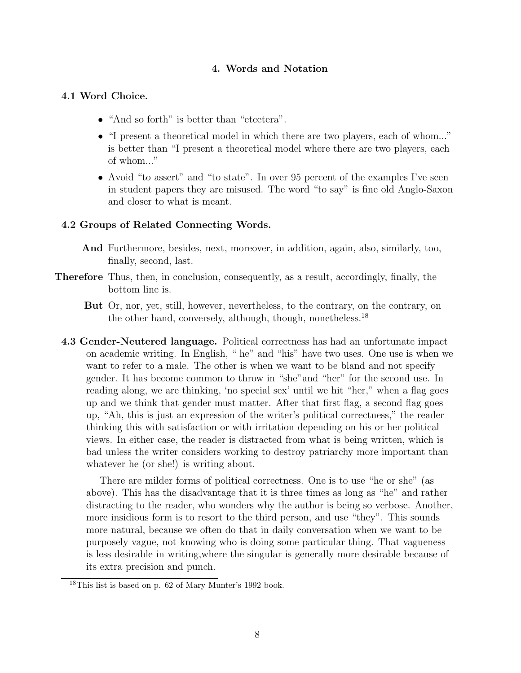## 4. Words and Notation

### 4.1 Word Choice.

- "And so forth" is better than "etcetera".
- "I present a theoretical model in which there are two players, each of whom..." is better than "I present a theoretical model where there are two players, each of whom..."
- Avoid "to assert" and "to state". In over 95 percent of the examples I've seen in student papers they are misused. The word "to say" is fine old Anglo-Saxon and closer to what is meant.

### 4.2 Groups of Related Connecting Words.

- And Furthermore, besides, next, moreover, in addition, again, also, similarly, too, finally, second, last.
- Therefore Thus, then, in conclusion, consequently, as a result, accordingly, finally, the bottom line is.
	- But Or, nor, yet, still, however, nevertheless, to the contrary, on the contrary, on the other hand, conversely, although, though, nonetheless.<sup>18</sup>
	- 4.3 Gender-Neutered language. Political correctness has had an unfortunate impact on academic writing. In English, " he" and "his" have two uses. One use is when we want to refer to a male. The other is when we want to be bland and not specify gender. It has become common to throw in "she"and "her" for the second use. In reading along, we are thinking, 'no special sex' until we hit "her," when a flag goes up and we think that gender must matter. After that first flag, a second flag goes up, "Ah, this is just an expression of the writer's political correctness," the reader thinking this with satisfaction or with irritation depending on his or her political views. In either case, the reader is distracted from what is being written, which is bad unless the writer considers working to destroy patriarchy more important than whatever he (or she!) is writing about.

There are milder forms of political correctness. One is to use "he or she" (as above). This has the disadvantage that it is three times as long as "he" and rather distracting to the reader, who wonders why the author is being so verbose. Another, more insidious form is to resort to the third person, and use "they". This sounds more natural, because we often do that in daily conversation when we want to be purposely vague, not knowing who is doing some particular thing. That vagueness is less desirable in writing,where the singular is generally more desirable because of its extra precision and punch.

<sup>18</sup>This list is based on p. 62 of Mary Munter's 1992 book.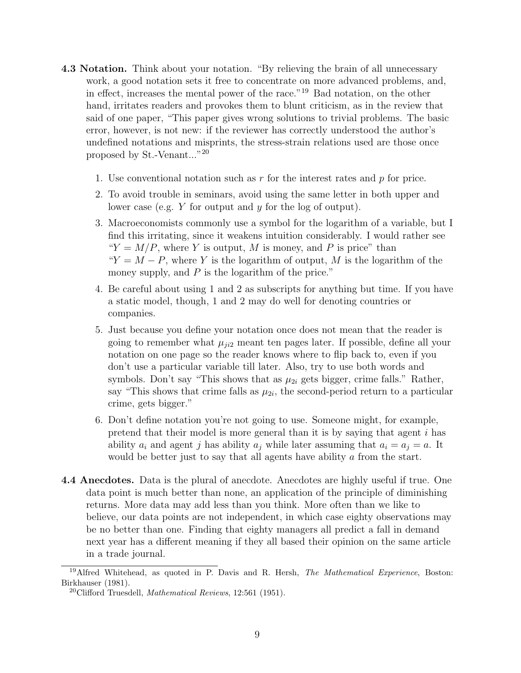- 4.3 Notation. Think about your notation. "By relieving the brain of all unnecessary work, a good notation sets it free to concentrate on more advanced problems, and, in effect, increases the mental power of the race."<sup>19</sup> Bad notation, on the other hand, irritates readers and provokes them to blunt criticism, as in the review that said of one paper, "This paper gives wrong solutions to trivial problems. The basic error, however, is not new: if the reviewer has correctly understood the author's undefined notations and misprints, the stress-strain relations used are those once proposed by St.-Venant..."<sup>20</sup>
	- 1. Use conventional notation such as r for the interest rates and  $p$  for price.
	- 2. To avoid trouble in seminars, avoid using the same letter in both upper and lower case (e.g. Y for output and y for the log of output).
	- 3. Macroeconomists commonly use a symbol for the logarithm of a variable, but I find this irritating, since it weakens intuition considerably. I would rather see " $Y = M/P$ , where Y is output, M is money, and P is price" than " $Y = M - P$ , where Y is the logarithm of output, M is the logarithm of the money supply, and  $P$  is the logarithm of the price."
	- 4. Be careful about using 1 and 2 as subscripts for anything but time. If you have a static model, though, 1 and 2 may do well for denoting countries or companies.
	- 5. Just because you define your notation once does not mean that the reader is going to remember what  $\mu_{ji2}$  meant ten pages later. If possible, define all your notation on one page so the reader knows where to flip back to, even if you don't use a particular variable till later. Also, try to use both words and symbols. Don't say "This shows that as  $\mu_{2i}$  gets bigger, crime falls." Rather, say "This shows that crime falls as  $\mu_{2i}$ , the second-period return to a particular crime, gets bigger."
	- 6. Don't define notation you're not going to use. Someone might, for example, pretend that their model is more general than it is by saying that agent i has ability  $a_i$  and agent j has ability  $a_j$  while later assuming that  $a_i = a_j = a$ . It would be better just to say that all agents have ability a from the start.
- 4.4 Anecdotes. Data is the plural of anecdote. Anecdotes are highly useful if true. One data point is much better than none, an application of the principle of diminishing returns. More data may add less than you think. More often than we like to believe, our data points are not independent, in which case eighty observations may be no better than one. Finding that eighty managers all predict a fall in demand next year has a different meaning if they all based their opinion on the same article in a trade journal.

<sup>&</sup>lt;sup>19</sup>Alfred Whitehead, as quoted in P. Davis and R. Hersh, *The Mathematical Experience*, Boston: Birkhauser (1981).

 $20$ Clifford Truesdell, *Mathematical Reviews*, 12:561 (1951).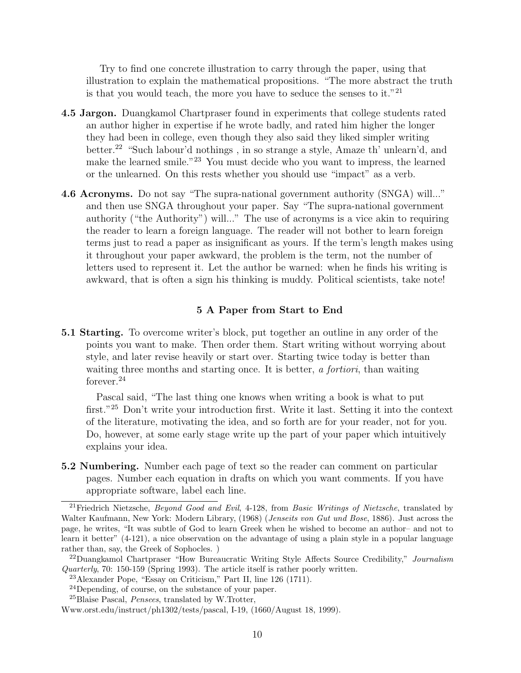Try to find one concrete illustration to carry through the paper, using that illustration to explain the mathematical propositions. "The more abstract the truth is that you would teach, the more you have to seduce the senses to it."<sup>21</sup>

- 4.5 Jargon. Duangkamol Chartpraser found in experiments that college students rated an author higher in expertise if he wrote badly, and rated him higher the longer they had been in college, even though they also said they liked simpler writing better.<sup>22</sup> "Such labour'd nothings , in so strange a style, Amaze th' unlearn'd, and make the learned smile."<sup>23</sup> You must decide who you want to impress, the learned or the unlearned. On this rests whether you should use "impact" as a verb.
- 4.6 Acronyms. Do not say "The supra-national government authority (SNGA) will..." and then use SNGA throughout your paper. Say "The supra-national government authority ("the Authority") will..." The use of acronyms is a vice akin to requiring the reader to learn a foreign language. The reader will not bother to learn foreign terms just to read a paper as insignificant as yours. If the term's length makes using it throughout your paper awkward, the problem is the term, not the number of letters used to represent it. Let the author be warned: when he finds his writing is awkward, that is often a sign his thinking is muddy. Political scientists, take note!

### 5 A Paper from Start to End

5.1 Starting. To overcome writer's block, put together an outline in any order of the points you want to make. Then order them. Start writing without worrying about style, and later revise heavily or start over. Starting twice today is better than waiting three months and starting once. It is better, a *fortiori*, than waiting forever.<sup>24</sup>

Pascal said, "The last thing one knows when writing a book is what to put first."<sup>25</sup> Don't write your introduction first. Write it last. Setting it into the context of the literature, motivating the idea, and so forth are for your reader, not for you. Do, however, at some early stage write up the part of your paper which intuitively explains your idea.

5.2 Numbering. Number each page of text so the reader can comment on particular pages. Number each equation in drafts on which you want comments. If you have appropriate software, label each line.

<sup>&</sup>lt;sup>21</sup>Friedrich Nietzsche, Beyond Good and Evil, 4-128, from Basic Writings of Nietzsche, translated by Walter Kaufmann, New York: Modern Library, (1968) (Jenseits von Gut und Bose, 1886). Just across the page, he writes, "It was subtle of God to learn Greek when he wished to become an author– and not to learn it better" (4-121), a nice observation on the advantage of using a plain style in a popular language rather than, say, the Greek of Sophocles. )

 $^{22}$ Duangkamol Chartpraser "How Bureaucratic Writing Style Affects Source Credibility," *Journalism* Quarterly, 70: 150-159 (Spring 1993). The article itself is rather poorly written.

<sup>23</sup>Alexander Pope, "Essay on Criticism," Part II, line 126 (1711).

<sup>24</sup>Depending, of course, on the substance of your paper.

<sup>25</sup>Blaise Pascal, Pensees, translated by W.Trotter,

Www.orst.edu/instruct/ph1302/tests/pascal, I-19, (1660/August 18, 1999).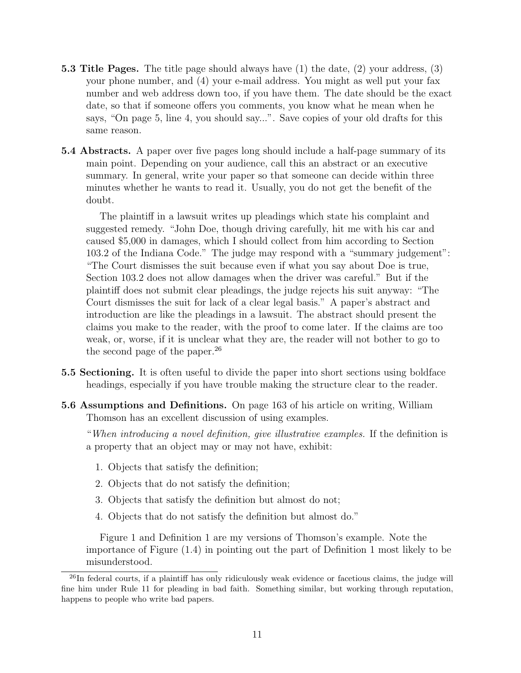- 5.3 Title Pages. The title page should always have (1) the date, (2) your address, (3) your phone number, and (4) your e-mail address. You might as well put your fax number and web address down too, if you have them. The date should be the exact date, so that if someone offers you comments, you know what he mean when he says, "On page 5, line 4, you should say...". Save copies of your old drafts for this same reason.
- 5.4 Abstracts. A paper over five pages long should include a half-page summary of its main point. Depending on your audience, call this an abstract or an executive summary. In general, write your paper so that someone can decide within three minutes whether he wants to read it. Usually, you do not get the benefit of the doubt.

The plaintiff in a lawsuit writes up pleadings which state his complaint and suggested remedy. "John Doe, though driving carefully, hit me with his car and caused \$5,000 in damages, which I should collect from him according to Section 103.2 of the Indiana Code." The judge may respond with a "summary judgement": "The Court dismisses the suit because even if what you say about Doe is true, Section 103.2 does not allow damages when the driver was careful." But if the plaintiff does not submit clear pleadings, the judge rejects his suit anyway: "The Court dismisses the suit for lack of a clear legal basis." A paper's abstract and introduction are like the pleadings in a lawsuit. The abstract should present the claims you make to the reader, with the proof to come later. If the claims are too weak, or, worse, if it is unclear what they are, the reader will not bother to go to the second page of the paper.<sup>26</sup>

- 5.5 Sectioning. It is often useful to divide the paper into short sections using boldface headings, especially if you have trouble making the structure clear to the reader.
- 5.6 Assumptions and Definitions. On page 163 of his article on writing, William Thomson has an excellent discussion of using examples.

"When introducing a novel definition, give illustrative examples. If the definition is a property that an object may or may not have, exhibit:

- 1. Objects that satisfy the definition;
- 2. Objects that do not satisfy the definition;
- 3. Objects that satisfy the definition but almost do not;
- 4. Objects that do not satisfy the definition but almost do."

Figure 1 and Definition 1 are my versions of Thomson's example. Note the importance of Figure (1.4) in pointing out the part of Definition 1 most likely to be misunderstood.

 $^{26}$ In federal courts, if a plaintiff has only ridiculously weak evidence or facetious claims, the judge will fine him under Rule 11 for pleading in bad faith. Something similar, but working through reputation, happens to people who write bad papers.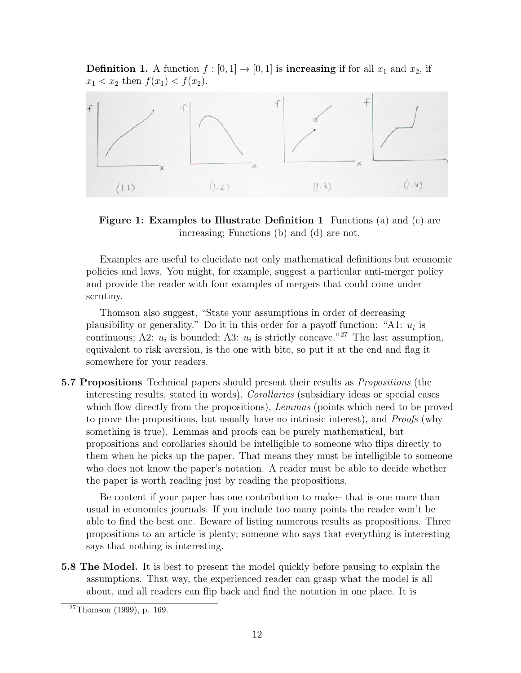**Definition 1.** A function  $f : [0, 1] \rightarrow [0, 1]$  is **increasing** if for all  $x_1$  and  $x_2$ , if  $x_1 < x_2$  then  $f(x_1) < f(x_2)$ .



Figure 1: Examples to Illustrate Definition 1 Functions (a) and (c) are increasing; Functions (b) and (d) are not.

Examples are useful to elucidate not only mathematical definitions but economic policies and laws. You might, for example, suggest a particular anti-merger policy and provide the reader with four examples of mergers that could come under scrutiny.

Thomson also suggest, "State your assumptions in order of decreasing plausibility or generality." Do it in this order for a payoff function: "A1:  $u_i$  is continuous; A2:  $u_i$  is bounded; A3:  $u_i$  is strictly concave.<sup>"27</sup> The last assumption, equivalent to risk aversion, is the one with bite, so put it at the end and flag it somewhere for your readers.

5.7 Propositions Technical papers should present their results as Propositions (the interesting results, stated in words), Corollaries (subsidiary ideas or special cases which flow directly from the propositions), Lemmas (points which need to be proved to prove the propositions, but usually have no intrinsic interest), and Proofs (why something is true). Lemmas and proofs can be purely mathematical, but propositions and corollaries should be intelligible to someone who flips directly to them when he picks up the paper. That means they must be intelligible to someone who does not know the paper's notation. A reader must be able to decide whether the paper is worth reading just by reading the propositions.

Be content if your paper has one contribution to make– that is one more than usual in economics journals. If you include too many points the reader won't be able to find the best one. Beware of listing numerous results as propositions. Three propositions to an article is plenty; someone who says that everything is interesting says that nothing is interesting.

5.8 The Model. It is best to present the model quickly before pausing to explain the assumptions. That way, the experienced reader can grasp what the model is all about, and all readers can flip back and find the notation in one place. It is

 $27$ Thomson (1999), p. 169.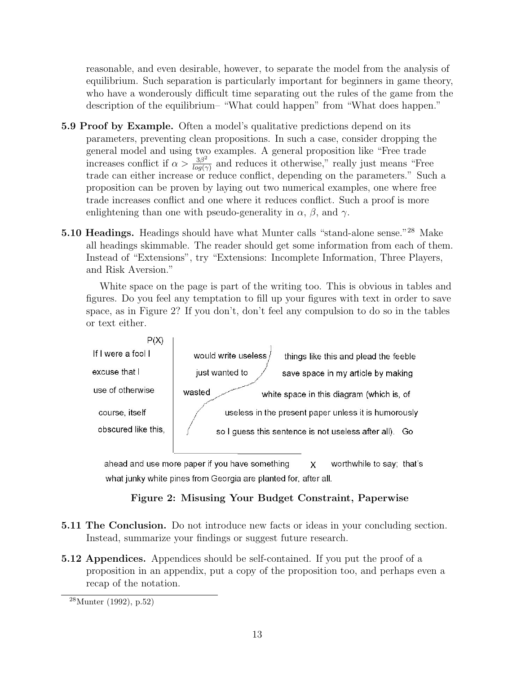reasonable, and even desirable, however, to separate the model from the analysis of equilibrium. Such separation is particularly important for beginners in game theory, who have a wonderously difficult time separating out the rules of the game from the description of the equilibrium– "What could happen" from "What does happen."

- 5.9 Proof by Example. Often a model's qualitative predictions depend on its parameters, preventing clean propositions. In such a case, consider dropping the general model and using two examples. A general proposition like "Free trade increases conflict if  $\alpha > \frac{3\beta^2}{\log(2)}$  $\frac{3\beta^2}{\log(\gamma)}$  and reduces it otherwise," really just means "Free trade can either increase or reduce conflict, depending on the parameters." Such a proposition can be proven by laying out two numerical examples, one where free trade increases conflict and one where it reduces conflict. Such a proof is more enlightening than one with pseudo-generality in  $\alpha$ ,  $\beta$ , and  $\gamma$ .
- 5.10 Headings. Headings should have what Munter calls "stand-alone sense."<sup>28</sup> Make all headings skimmable. The reader should get some information from each of them. Instead of "Extensions", try "Extensions: Incomplete Information, Three Players, and Risk Aversion."

White space on the page is part of the writing too. This is obvious in tables and figures. Do you feel any temptation to fill up your figures with text in order to save space, as in Figure 2? If you don't, don't feel any compulsion to do so in the tables or text either.



ahead and use more paper if you have something worthwhile to say; that's X what junky white pines from Georgia are planted for, after all.

# Figure 2: Misusing Your Budget Constraint, Paperwise

- 5.11 The Conclusion. Do not introduce new facts or ideas in your concluding section. Instead, summarize your findings or suggest future research.
- 5.12 Appendices. Appendices should be self-contained. If you put the proof of a proposition in an appendix, put a copy of the proposition too, and perhaps even a recap of the notation.

 $^{28}$ Munter (1992), p.52)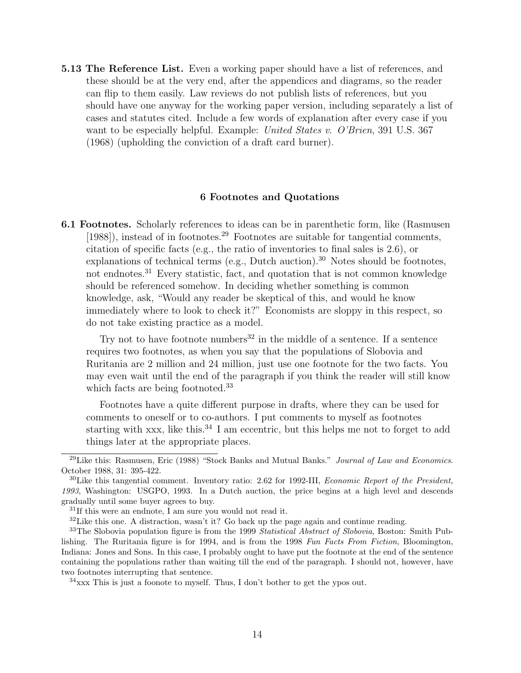5.13 The Reference List. Even a working paper should have a list of references, and these should be at the very end, after the appendices and diagrams, so the reader can flip to them easily. Law reviews do not publish lists of references, but you should have one anyway for the working paper version, including separately a list of cases and statutes cited. Include a few words of explanation after every case if you want to be especially helpful. Example: United States v. O'Brien, 391 U.S. 367 (1968) (upholding the conviction of a draft card burner).

#### 6 Footnotes and Quotations

6.1 Footnotes. Scholarly references to ideas can be in parenthetic form, like (Rasmusen  $[1988]$ , instead of in footnotes.<sup>29</sup> Footnotes are suitable for tangential comments, citation of specific facts (e.g., the ratio of inventories to final sales is 2.6), or explanations of technical terms (e.g., Dutch auction).<sup>30</sup> Notes should be footnotes, not endnotes.<sup>31</sup> Every statistic, fact, and quotation that is not common knowledge should be referenced somehow. In deciding whether something is common knowledge, ask, "Would any reader be skeptical of this, and would he know immediately where to look to check it?" Economists are sloppy in this respect, so do not take existing practice as a model.

Try not to have footnote numbers<sup>32</sup> in the middle of a sentence. If a sentence requires two footnotes, as when you say that the populations of Slobovia and Ruritania are 2 million and 24 million, just use one footnote for the two facts. You may even wait until the end of the paragraph if you think the reader will still know which facts are being footnoted.<sup>33</sup>

Footnotes have a quite different purpose in drafts, where they can be used for comments to oneself or to co-authors. I put comments to myself as footnotes starting with xxx, like this.<sup>34</sup> I am eccentric, but this helps me not to forget to add things later at the appropriate places.

 $34xxx$  This is just a foonote to myself. Thus, I don't bother to get the ypos out.

 $^{29}$ Like this: Rasmusen, Eric (1988) "Stock Banks and Mutual Banks." *Journal of Law and Economics*. October 1988, 31: 395-422.

 $30$ Like this tangential comment. Inventory ratio: 2.62 for 1992-III, *Economic Report of the President*, 1993, Washington: USGPO, 1993. In a Dutch auction, the price begins at a high level and descends gradually until some buyer agrees to buy.

 $31$ If this were an endnote, I am sure you would not read it.

 $32$  Like this one. A distraction, wasn't it? Go back up the page again and continue reading.

<sup>&</sup>lt;sup>33</sup>The Slobovia population figure is from the 1999 *Statistical Abstract of Slobovia*, Boston: Smith Publishing. The Ruritania figure is for 1994, and is from the 1998 Fun Facts From Fiction, Bloomington, Indiana: Jones and Sons. In this case, I probably ought to have put the footnote at the end of the sentence containing the populations rather than waiting till the end of the paragraph. I should not, however, have two footnotes interrupting that sentence.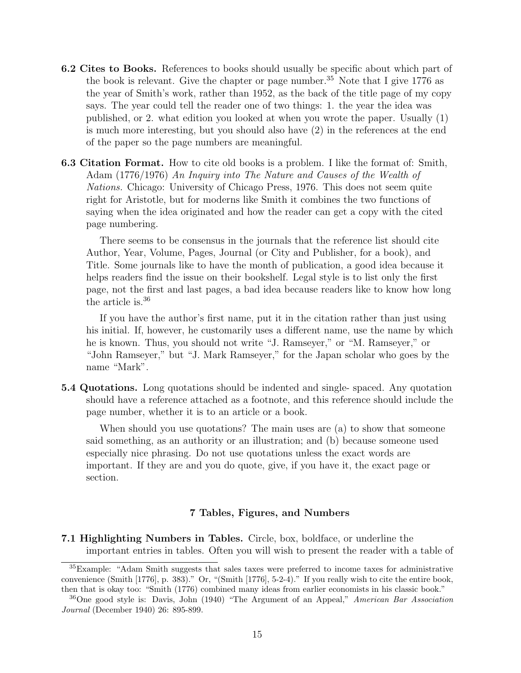- 6.2 Cites to Books. References to books should usually be specific about which part of the book is relevant. Give the chapter or page number.<sup>35</sup> Note that I give 1776 as the year of Smith's work, rather than 1952, as the back of the title page of my copy says. The year could tell the reader one of two things: 1. the year the idea was published, or 2. what edition you looked at when you wrote the paper. Usually (1) is much more interesting, but you should also have (2) in the references at the end of the paper so the page numbers are meaningful.
- 6.3 Citation Format. How to cite old books is a problem. I like the format of: Smith, Adam (1776/1976) An Inquiry into The Nature and Causes of the Wealth of Nations. Chicago: University of Chicago Press, 1976. This does not seem quite right for Aristotle, but for moderns like Smith it combines the two functions of saying when the idea originated and how the reader can get a copy with the cited page numbering.

There seems to be consensus in the journals that the reference list should cite Author, Year, Volume, Pages, Journal (or City and Publisher, for a book), and Title. Some journals like to have the month of publication, a good idea because it helps readers find the issue on their bookshelf. Legal style is to list only the first page, not the first and last pages, a bad idea because readers like to know how long the article is.<sup>36</sup>

If you have the author's first name, put it in the citation rather than just using his initial. If, however, he customarily uses a different name, use the name by which he is known. Thus, you should not write "J. Ramseyer," or "M. Ramseyer," or "John Ramseyer," but "J. Mark Ramseyer," for the Japan scholar who goes by the name "Mark".

5.4 Quotations. Long quotations should be indented and single- spaced. Any quotation should have a reference attached as a footnote, and this reference should include the page number, whether it is to an article or a book.

When should you use quotations? The main uses are (a) to show that someone said something, as an authority or an illustration; and (b) because someone used especially nice phrasing. Do not use quotations unless the exact words are important. If they are and you do quote, give, if you have it, the exact page or section.

#### 7 Tables, Figures, and Numbers

7.1 Highlighting Numbers in Tables. Circle, box, boldface, or underline the important entries in tables. Often you will wish to present the reader with a table of

<sup>35</sup>Example: "Adam Smith suggests that sales taxes were preferred to income taxes for administrative convenience (Smith [1776], p. 383)." Or, "(Smith [1776], 5-2-4)." If you really wish to cite the entire book, then that is okay too: "Smith (1776) combined many ideas from earlier economists in his classic book."

<sup>36</sup>One good style is: Davis, John (1940) "The Argument of an Appeal," American Bar Association Journal (December 1940) 26: 895-899.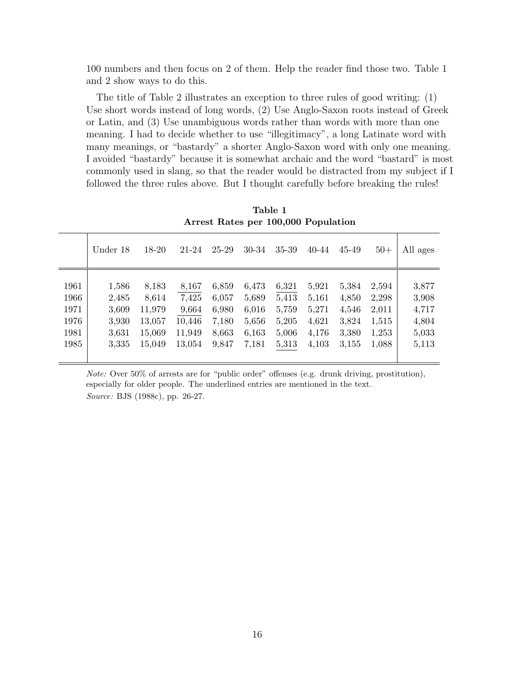100 numbers and then focus on 2 of them. Help the reader find those two. Table 1 and 2 show ways to do this.

The title of Table 2 illustrates an exception to three rules of good writing: (1) Use short words instead of long words, (2) Use Anglo-Saxon roots instead of Greek or Latin, and (3) Use unambiguous words rather than words with more than one meaning. I had to decide whether to use "illegitimacy", a long Latinate word with many meanings, or "bastardy" a shorter Anglo-Saxon word with only one meaning. I avoided "bastardy" because it is somewhat archaic and the word "bastard" is most commonly used in slang, so that the reader would be distracted from my subject if I followed the three rules above. But I thought carefully before breaking the rules!

|      | THE CSU TURNED PCI TOO,000 I OPURUSION |        |        |       |       |       |       |       |       |          |
|------|----------------------------------------|--------|--------|-------|-------|-------|-------|-------|-------|----------|
|      | Under 18                               | 18-20  | 21-24  | 25-29 | 30-34 | 35-39 | 40-44 | 45-49 | $50+$ | All ages |
|      |                                        |        |        |       |       |       |       |       |       |          |
| 1961 | 1,586                                  | 8,183  | 8,167  | 6,859 | 6,473 | 6,321 | 5,921 | 5,384 | 2,594 | 3,877    |
| 1966 | 2,485                                  | 8,614  | 7,425  | 6,057 | 5,689 | 5,413 | 5,161 | 4,850 | 2,298 | 3,908    |
| 1971 | 3,609                                  | 11,979 | 9,664  | 6,980 | 6,016 | 5,759 | 5,271 | 4,546 | 2,011 | 4,717    |
| 1976 | 3,930                                  | 13,057 | 10,446 | 7,180 | 5,656 | 5,205 | 4,621 | 3,824 | 1,515 | 4,804    |
| 1981 | 3,631                                  | 15,069 | 11,949 | 8,663 | 6,163 | 5,006 | 4,176 | 3,380 | 1,253 | 5,033    |
| 1985 | 3,335                                  | 15,049 | 13,054 | 9,847 | 7,181 | 5,313 | 4,103 | 3,155 | 1,088 | 5,113    |
|      |                                        |        |        |       |       |       |       |       |       |          |

Table 1 Arrest Rates per 100,000 Population

Note: Over 50% of arrests are for "public order" offenses (e.g. drunk driving, prostitution), especially for older people. The underlined entries are mentioned in the text. Source: BJS (1988c), pp. 26-27.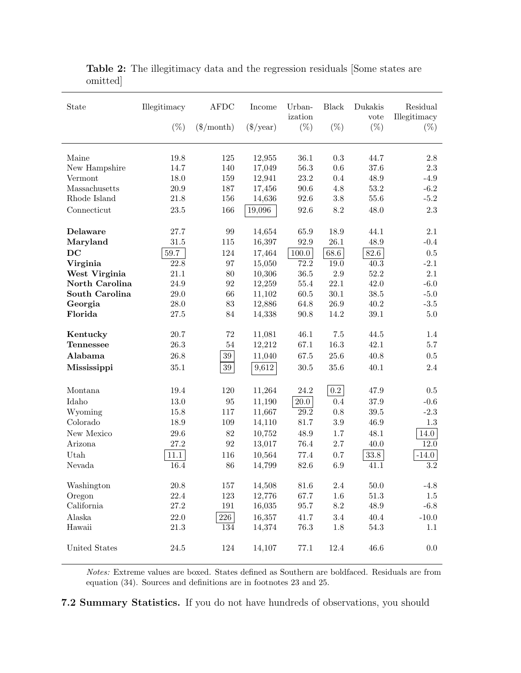| State              | Illegitimacy     | <b>AFDC</b>  | Income              | Urban-<br>ization | <b>Black</b>     | Dukakis<br>vote | Residual<br>Illegitimacy |
|--------------------|------------------|--------------|---------------------|-------------------|------------------|-----------------|--------------------------|
|                    | $(\%)$           | $(\$/month)$ | $(\frac{\$}{year})$ | $(\%)$            | $(\%)$           | $(\%)$          | $(\%)$                   |
| Maine              | 19.8             | 125          | 12,955              | 36.1              | 0.3              | 44.7            | $2.8\,$                  |
| New Hampshire      | 14.7             | 140          | 17,049              | 56.3              | 0.6              | 37.6            | 2.3                      |
| Vermont            | 18.0             | 159          | 12,941              | 23.2              | $0.4\,$          | 48.9            | $-4.9$                   |
| Massachusetts      | 20.9             | 187          | 17,456              | 90.6              | 4.8              | 53.2            | $-6.2$                   |
| Rhode Island       | 21.8             | 156          | 14,636              | 92.6              | $3.8\,$          | 55.6            | $-5.2$                   |
| Connecticut        | $23.5\,$         | 166          | 19,096              | 92.6              | 8.2              | 48.0            | 2.3                      |
| Delaware           | 27.7             | 99           | 14,654              | 65.9              | 18.9             | 44.1            | 2.1                      |
| Maryland           | 31.5             | 115          | 16,397              | 92.9              | 26.1             | 48.9            | $-0.4$                   |
| DC                 | $59.7\,$         | 124          | 17,464              | 100.0             | 68.6             | 82.6            | 0.5                      |
| Virginia           | 22.8             | 97           | 15,050              | $72.\overline{2}$ | 19.0             | 40.3            | $-2.1$                   |
| West Virginia      | 21.1             | 80           | 10,306              | $36.5\,$          | $2.9\,$          | 52.2            | 2.1                      |
| North Carolina     | 24.9             | 92           | 12,259              | $55.4\,$          | 22.1             | 42.0            | $-6.0$                   |
| South Carolina     | $29.0\,$         | 66<br>$83\,$ | 11,102              | $60.5\,$          | $30.1\,$         | 38.5<br>40.2    | $-5.0$<br>$-3.5$         |
| Georgia<br>Florida | $28.0\,$<br>27.5 | 84           | 12,886<br>14,338    | 64.8<br>$90.8\,$  | $26.9\,$<br>14.2 | 39.1            | $5.0\,$                  |
|                    |                  |              |                     |                   |                  |                 |                          |
| Kentucky           | 20.7             | 72           | 11,081              | 46.1              | $7.5\,$          | 44.5            | 1.4                      |
| <b>Tennessee</b>   | $26.3\,$         | $54\,$       | 12,212              | 67.1              | 16.3             | 42.1            | 5.7                      |
| Alabama            | 26.8             | $39\,$       | 11,040              | 67.5              | $25.6\,$         | 40.8            | $0.5\,$                  |
| Mississippi        | $35.1\,$         | $39\,$       | 9,612               | $30.5\,$          | 35.6             | 40.1            | 2.4                      |
| Montana            | 19.4             | 120          | 11,264              | 24.2              | 0.2              | 47.9            | $0.5\,$                  |
| Idaho              | 13.0             | 95           | 11,190              | 20.0              | 0.4              | 37.9            | $-0.6$                   |
| Wyoming            | 15.8             | 117          | 11,667              | 29.2              | 0.8              | $39.5\,$        | $-2.3$                   |
| Colorado           | 18.9             | 109          | 14,110              | 81.7              | $3.9\,$          | 46.9            | 1.3                      |
| New Mexico         | 29.6             | 82           | 10,752              | 48.9              | 1.7              | 48.1            | 14.0                     |
| Arizona            | 27.2             | 92           | 13,017              | 76.4              | 2.7              | 40.0            | 12.0                     |
| Utah               | 11.1             | 116          | 10,564              | 77.4              | 0.7              | $33.8\,$        | $-14.0$                  |
| Nevada             | 16.4             | 86           | 14,799              | 82.6              | 6.9              | 41.1            | 3.2                      |
| Washington         | $20.8\,$         | $157\,$      | 14,508              | $81.6\,$          | $2.4\,$          | $50.0\,$        | $-4.8$                   |
| Oregon             | $22.4\,$         | $123\,$      | 12,776              | 67.7              | $1.6\,$          | $51.3\,$        | 1.5                      |
| California         | $27.2\,$         | 191          | 16,035              | 95.7              | $8.2\,$          | $48.9\,$        | $-6.8$                   |
| Alaska             | $22.0\,$         | 226          | 16,357              | 41.7              | $3.4\,$          | 40.4            | $-10.0$                  |
| Hawaii             | $21.3\,$         | 134          | 14,374              | $76.3\,$          | $1.8\,$          | $54.3\,$        | 1.1                      |
| United States      | $24.5\,$         | 124          | 14,107              | 77.1              | 12.4             | $46.6\,$        | $0.0\,$                  |

Table 2: The illegitimacy data and the regression residuals [Some states are omitted]

Notes: Extreme values are boxed. States defined as Southern are boldfaced. Residuals are from equation (34). Sources and definitions are in footnotes 23 and 25.

7.2 Summary Statistics. If you do not have hundreds of observations, you should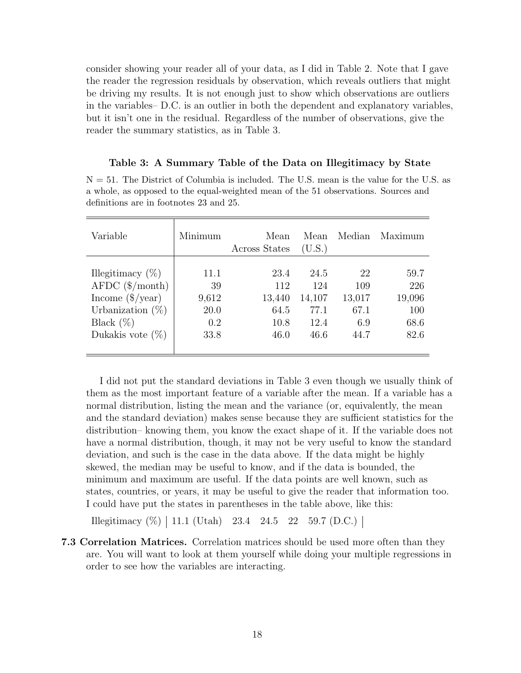consider showing your reader all of your data, as I did in Table 2. Note that I gave the reader the regression residuals by observation, which reveals outliers that might be driving my results. It is not enough just to show which observations are outliers in the variables– D.C. is an outlier in both the dependent and explanatory variables, but it isn't one in the residual. Regardless of the number of observations, give the reader the summary statistics, as in Table 3.

### Table 3: A Summary Table of the Data on Illegitimacy by State

N = 51. The District of Columbia is included. The U.S. mean is the value for the U.S. as a whole, as opposed to the equal-weighted mean of the 51 observations. Sources and definitions are in footnotes 23 and 25.

| Variable                      | Minimum | Mean<br>Across States | Mean<br>(U.S.) | Median | Maximum |
|-------------------------------|---------|-----------------------|----------------|--------|---------|
|                               |         |                       |                |        |         |
| Illegitimacy $(\%)$           | 11.1    | 23.4                  | 24.5           | 22     | 59.7    |
| $AFDC$ ( $\$/month$ )         | 39      | 112                   | 124            | 109    | 226     |
| Income $(\frac{2}{\sqrt{2}})$ | 9,612   | 13,440                | 14,107         | 13,017 | 19,096  |
| Urbanization $(\%)$           | 20.0    | 64.5                  | 77.1           | 67.1   | 100     |
| Black $(\%)$                  | 0.2     | 10.8                  | 12.4           | 6.9    | 68.6    |
| Dukakis vote $(\%)$           | 33.8    | 46.0                  | 46.6           | 44.7   | 82.6    |
|                               |         |                       |                |        |         |

I did not put the standard deviations in Table 3 even though we usually think of them as the most important feature of a variable after the mean. If a variable has a normal distribution, listing the mean and the variance (or, equivalently, the mean and the standard deviation) makes sense because they are sufficient statistics for the distribution– knowing them, you know the exact shape of it. If the variable does not have a normal distribution, though, it may not be very useful to know the standard deviation, and such is the case in the data above. If the data might be highly skewed, the median may be useful to know, and if the data is bounded, the minimum and maximum are useful. If the data points are well known, such as states, countries, or years, it may be useful to give the reader that information too. I could have put the states in parentheses in the table above, like this:

Illegitimacy  $(\%)$  | 11.1 (Utah) 23.4 24.5 22 59.7 (D.C.) |

7.3 Correlation Matrices. Correlation matrices should be used more often than they are. You will want to look at them yourself while doing your multiple regressions in order to see how the variables are interacting.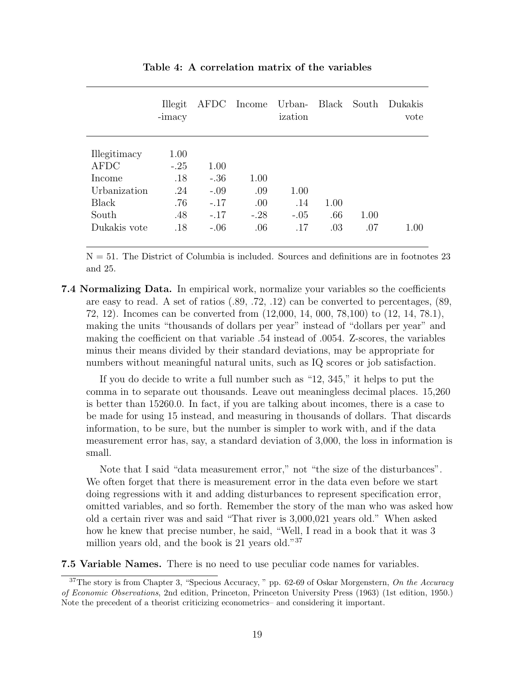|                                                                                         | Illegit<br>-imacy                                 | AFDC                                                   | Income                              | Urban-<br>ization            | Black              | South       | Dukakis<br>vote |
|-----------------------------------------------------------------------------------------|---------------------------------------------------|--------------------------------------------------------|-------------------------------------|------------------------------|--------------------|-------------|-----------------|
| Illegitimacy<br><b>AFDC</b><br>Income<br>Urbanization<br>Black<br>South<br>Dukakis vote | 1.00<br>$-.25$<br>.18<br>.24<br>.76<br>.48<br>.18 | 1.00<br>$-.36$<br>$-.09$<br>$-.17$<br>$-.17$<br>$-.06$ | 1.00<br>.09<br>.00<br>$-.28$<br>.06 | 1.00<br>.14<br>$-.05$<br>.17 | 1.00<br>.66<br>.03 | 1.00<br>.07 | 1.00            |

Table 4: A correlation matrix of the variables

 $N = 51$ . The District of Columbia is included. Sources and definitions are in footnotes 23 and 25.

7.4 Normalizing Data. In empirical work, normalize your variables so the coefficients are easy to read. A set of ratios (.89, .72, .12) can be converted to percentages, (89, 72, 12). Incomes can be converted from (12,000, 14, 000, 78,100) to (12, 14, 78.1), making the units "thousands of dollars per year" instead of "dollars per year" and making the coefficient on that variable .54 instead of .0054. Z-scores, the variables minus their means divided by their standard deviations, may be appropriate for numbers without meaningful natural units, such as IQ scores or job satisfaction.

If you do decide to write a full number such as "12, 345," it helps to put the comma in to separate out thousands. Leave out meaningless decimal places. 15,260 is better than 15260.0. In fact, if you are talking about incomes, there is a case to be made for using 15 instead, and measuring in thousands of dollars. That discards information, to be sure, but the number is simpler to work with, and if the data measurement error has, say, a standard deviation of 3,000, the loss in information is small.

Note that I said "data measurement error," not "the size of the disturbances". We often forget that there is measurement error in the data even before we start doing regressions with it and adding disturbances to represent specification error, omitted variables, and so forth. Remember the story of the man who was asked how old a certain river was and said "That river is 3,000,021 years old." When asked how he knew that precise number, he said, "Well, I read in a book that it was 3 million years old, and the book is 21 years old."<sup>37</sup>

7.5 Variable Names. There is no need to use peculiar code names for variables.

 $37$ The story is from Chapter 3, "Specious Accuracy," pp. 62-69 of Oskar Morgenstern, On the Accuracy of Economic Observations, 2nd edition, Princeton, Princeton University Press (1963) (1st edition, 1950.) Note the precedent of a theorist criticizing econometrics– and considering it important.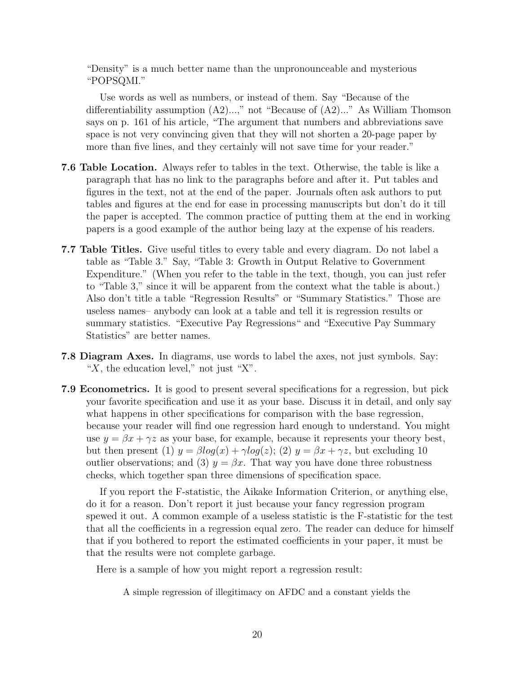"Density" is a much better name than the unpronounceable and mysterious "POPSQMI."

Use words as well as numbers, or instead of them. Say "Because of the differentiability assumption  $(A2)...$ ," not "Because of  $(A2)...$ " As William Thomson says on p. 161 of his article, "The argument that numbers and abbreviations save space is not very convincing given that they will not shorten a 20-page paper by more than five lines, and they certainly will not save time for your reader."

- 7.6 Table Location. Always refer to tables in the text. Otherwise, the table is like a paragraph that has no link to the paragraphs before and after it. Put tables and figures in the text, not at the end of the paper. Journals often ask authors to put tables and figures at the end for ease in processing manuscripts but don't do it till the paper is accepted. The common practice of putting them at the end in working papers is a good example of the author being lazy at the expense of his readers.
- 7.7 Table Titles. Give useful titles to every table and every diagram. Do not label a table as "Table 3." Say, "Table 3: Growth in Output Relative to Government Expenditure." (When you refer to the table in the text, though, you can just refer to "Table 3," since it will be apparent from the context what the table is about.) Also don't title a table "Regression Results" or "Summary Statistics." Those are useless names– anybody can look at a table and tell it is regression results or summary statistics. "Executive Pay Regressions" and "Executive Pay Summary Statistics" are better names.
- 7.8 Diagram Axes. In diagrams, use words to label the axes, not just symbols. Say: " $X$ , the education level," not just " $X$ ".
- 7.9 Econometrics. It is good to present several specifications for a regression, but pick your favorite specification and use it as your base. Discuss it in detail, and only say what happens in other specifications for comparison with the base regression, because your reader will find one regression hard enough to understand. You might use  $y = \beta x + \gamma z$  as your base, for example, because it represents your theory best, but then present (1)  $y = \beta \log(x) + \gamma \log(z)$ ; (2)  $y = \beta x + \gamma z$ , but excluding 10 outlier observations; and (3)  $y = \beta x$ . That way you have done three robustness checks, which together span three dimensions of specification space.

If you report the F-statistic, the Aikake Information Criterion, or anything else, do it for a reason. Don't report it just because your fancy regression program spewed it out. A common example of a useless statistic is the F-statistic for the test that all the coefficients in a regression equal zero. The reader can deduce for himself that if you bothered to report the estimated coefficients in your paper, it must be that the results were not complete garbage.

Here is a sample of how you might report a regression result:

A simple regression of illegitimacy on AFDC and a constant yields the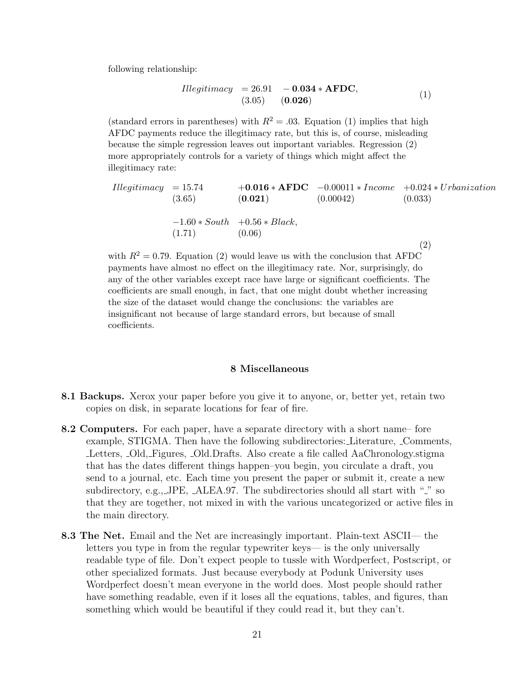following relationship:

Illegitimacy = 26.91 − 0.034 ∗ AFDC, (3.05) (0.026) (1)

(standard errors in parentheses) with  $R^2 = .03$ . Equation (1) implies that high AFDC payments reduce the illegitimacy rate, but this is, of course, misleading because the simple regression leaves out important variables. Regression (2) more appropriately controls for a variety of things which might affect the illegitimacy rate:

$$
Hlegitimacy = 15.74 +0.016 * AFDC -0.00011 * Income +0.024 * Urbanization
$$
  
(3.65) (0.021) (0.00042) (0.033)  
-1.60 \* South +0.56 \* Black,  
(1.71) (0.06) (2)

with  $R^2 = 0.79$ . Equation (2) would leave us with the conclusion that AFDC payments have almost no effect on the illegitimacy rate. Nor, surprisingly, do any of the other variables except race have large or significant coefficients. The coefficients are small enough, in fact, that one might doubt whether increasing the size of the dataset would change the conclusions: the variables are insignificant not because of large standard errors, but because of small coefficients.

### 8 Miscellaneous

- 8.1 Backups. Xerox your paper before you give it to anyone, or, better yet, retain two copies on disk, in separate locations for fear of fire.
- 8.2 Computers. For each paper, have a separate directory with a short name– fore example, STIGMA. Then have the following subdirectories: Literature, Comments, Letters, Old, Figures, Old.Drafts. Also create a file called AaChronology.stigma that has the dates different things happen–you begin, you circulate a draft, you send to a journal, etc. Each time you present the paper or submit it, create a new subdirectory, e.g., JPE,  $\Delta$ LEA.97. The subdirectories should all start with " $\tilde{ }$ " so that they are together, not mixed in with the various uncategorized or active files in the main directory.
- 8.3 The Net. Email and the Net are increasingly important. Plain-text ASCII— the letters you type in from the regular typewriter keys— is the only universally readable type of file. Don't expect people to tussle with Wordperfect, Postscript, or other specialized formats. Just because everybody at Podunk University uses Wordperfect doesn't mean everyone in the world does. Most people should rather have something readable, even if it loses all the equations, tables, and figures, than something which would be beautiful if they could read it, but they can't.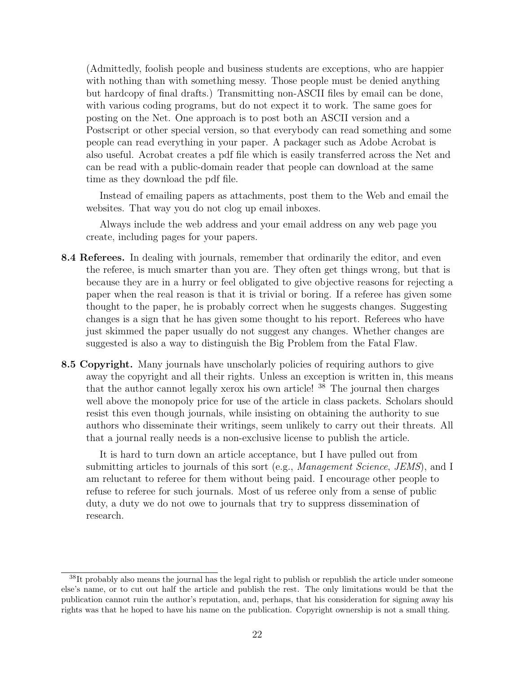(Admittedly, foolish people and business students are exceptions, who are happier with nothing than with something messy. Those people must be denied anything but hardcopy of final drafts.) Transmitting non-ASCII files by email can be done, with various coding programs, but do not expect it to work. The same goes for posting on the Net. One approach is to post both an ASCII version and a Postscript or other special version, so that everybody can read something and some people can read everything in your paper. A packager such as Adobe Acrobat is also useful. Acrobat creates a pdf file which is easily transferred across the Net and can be read with a public-domain reader that people can download at the same time as they download the pdf file.

Instead of emailing papers as attachments, post them to the Web and email the websites. That way you do not clog up email inboxes.

Always include the web address and your email address on any web page you create, including pages for your papers.

- 8.4 Referees. In dealing with journals, remember that ordinarily the editor, and even the referee, is much smarter than you are. They often get things wrong, but that is because they are in a hurry or feel obligated to give objective reasons for rejecting a paper when the real reason is that it is trivial or boring. If a referee has given some thought to the paper, he is probably correct when he suggests changes. Suggesting changes is a sign that he has given some thought to his report. Referees who have just skimmed the paper usually do not suggest any changes. Whether changes are suggested is also a way to distinguish the Big Problem from the Fatal Flaw.
- 8.5 Copyright. Many journals have unscholarly policies of requiring authors to give away the copyright and all their rights. Unless an exception is written in, this means that the author cannot legally xerox his own article! <sup>38</sup> The journal then charges well above the monopoly price for use of the article in class packets. Scholars should resist this even though journals, while insisting on obtaining the authority to sue authors who disseminate their writings, seem unlikely to carry out their threats. All that a journal really needs is a non-exclusive license to publish the article.

It is hard to turn down an article acceptance, but I have pulled out from submitting articles to journals of this sort (e.g., *Management Science*, *JEMS*), and I am reluctant to referee for them without being paid. I encourage other people to refuse to referee for such journals. Most of us referee only from a sense of public duty, a duty we do not owe to journals that try to suppress dissemination of research.

 $38$ It probably also means the journal has the legal right to publish or republish the article under someone else's name, or to cut out half the article and publish the rest. The only limitations would be that the publication cannot ruin the author's reputation, and, perhaps, that his consideration for signing away his rights was that he hoped to have his name on the publication. Copyright ownership is not a small thing.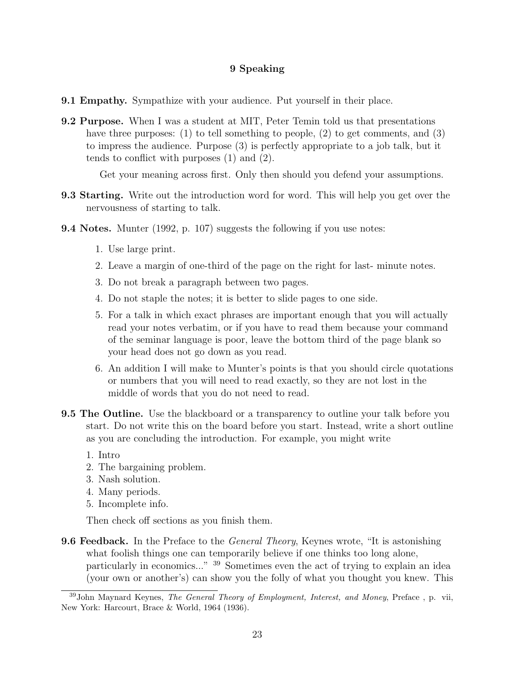# 9 Speaking

- 9.1 Empathy. Sympathize with your audience. Put yourself in their place.
- 9.2 Purpose. When I was a student at MIT, Peter Temin told us that presentations have three purposes: (1) to tell something to people, (2) to get comments, and (3) to impress the audience. Purpose (3) is perfectly appropriate to a job talk, but it tends to conflict with purposes (1) and (2).

Get your meaning across first. Only then should you defend your assumptions.

- 9.3 Starting. Write out the introduction word for word. This will help you get over the nervousness of starting to talk.
- 9.4 Notes. Munter (1992, p. 107) suggests the following if you use notes:
	- 1. Use large print.
	- 2. Leave a margin of one-third of the page on the right for last- minute notes.
	- 3. Do not break a paragraph between two pages.
	- 4. Do not staple the notes; it is better to slide pages to one side.
	- 5. For a talk in which exact phrases are important enough that you will actually read your notes verbatim, or if you have to read them because your command of the seminar language is poor, leave the bottom third of the page blank so your head does not go down as you read.
	- 6. An addition I will make to Munter's points is that you should circle quotations or numbers that you will need to read exactly, so they are not lost in the middle of words that you do not need to read.
- **9.5 The Outline.** Use the blackboard or a transparency to outline your talk before you start. Do not write this on the board before you start. Instead, write a short outline as you are concluding the introduction. For example, you might write
	- 1. Intro
	- 2. The bargaining problem.
	- 3. Nash solution.
	- 4. Many periods.
	- 5. Incomplete info.

Then check off sections as you finish them.

**9.6 Feedback.** In the Preface to the *General Theory*, Keynes wrote, "It is astonishing what foolish things one can temporarily believe if one thinks too long alone, particularly in economics..." <sup>39</sup> Sometimes even the act of trying to explain an idea (your own or another's) can show you the folly of what you thought you knew. This

<sup>&</sup>lt;sup>39</sup>John Maynard Keynes, *The General Theory of Employment, Interest, and Money*, Preface, p. vii, New York: Harcourt, Brace & World, 1964 (1936).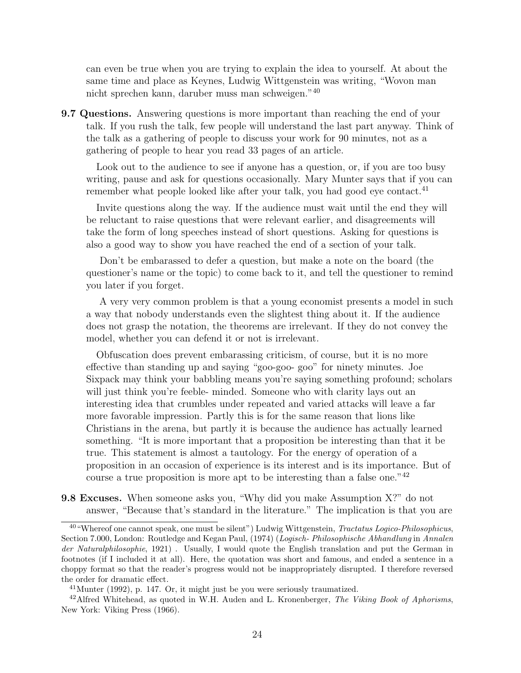can even be true when you are trying to explain the idea to yourself. At about the same time and place as Keynes, Ludwig Wittgenstein was writing, "Wovon man nicht sprechen kann, daruber muss man schweigen."<sup>40</sup>

9.7 Questions. Answering questions is more important than reaching the end of your talk. If you rush the talk, few people will understand the last part anyway. Think of the talk as a gathering of people to discuss your work for 90 minutes, not as a gathering of people to hear you read 33 pages of an article.

Look out to the audience to see if anyone has a question, or, if you are too busy writing, pause and ask for questions occasionally. Mary Munter says that if you can remember what people looked like after your talk, you had good eye contact.<sup>41</sup>

Invite questions along the way. If the audience must wait until the end they will be reluctant to raise questions that were relevant earlier, and disagreements will take the form of long speeches instead of short questions. Asking for questions is also a good way to show you have reached the end of a section of your talk.

Don't be embarassed to defer a question, but make a note on the board (the questioner's name or the topic) to come back to it, and tell the questioner to remind you later if you forget.

A very very common problem is that a young economist presents a model in such a way that nobody understands even the slightest thing about it. If the audience does not grasp the notation, the theorems are irrelevant. If they do not convey the model, whether you can defend it or not is irrelevant.

Obfuscation does prevent embarassing criticism, of course, but it is no more effective than standing up and saying "goo-goo- goo" for ninety minutes. Joe Sixpack may think your babbling means you're saying something profound; scholars will just think you're feeble- minded. Someone who with clarity lays out an interesting idea that crumbles under repeated and varied attacks will leave a far more favorable impression. Partly this is for the same reason that lions like Christians in the arena, but partly it is because the audience has actually learned something. "It is more important that a proposition be interesting than that it be true. This statement is almost a tautology. For the energy of operation of a proposition in an occasion of experience is its interest and is its importance. But of course a true proposition is more apt to be interesting than a false one."<sup>42</sup>

9.8 Excuses. When someone asks you, "Why did you make Assumption X?" do not answer, "Because that's standard in the literature." The implication is that you are

<sup>40</sup>"Whereof one cannot speak, one must be silent") Ludwig Wittgenstein, Tractatus Logico-Philosophicus, Section 7.000, London: Routledge and Kegan Paul, (1974) (Logisch- Philosophische Abhandlung in Annalen der Naturalphilosophie, 1921) . Usually, I would quote the English translation and put the German in footnotes (if I included it at all). Here, the quotation was short and famous, and ended a sentence in a choppy format so that the reader's progress would not be inappropriately disrupted. I therefore reversed the order for dramatic effect.

<sup>41</sup>Munter (1992), p. 147. Or, it might just be you were seriously traumatized.

 $42$ Alfred Whitehead, as quoted in W.H. Auden and L. Kronenberger, The Viking Book of Aphorisms, New York: Viking Press (1966).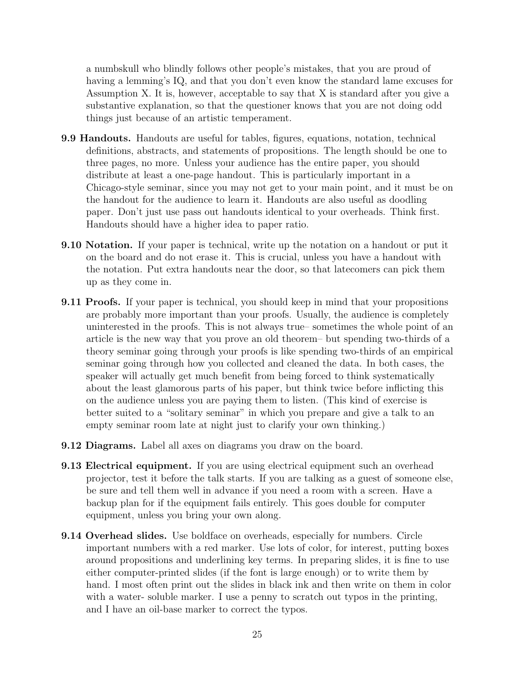a numbskull who blindly follows other people's mistakes, that you are proud of having a lemming's IQ, and that you don't even know the standard lame excuses for Assumption X. It is, however, acceptable to say that X is standard after you give a substantive explanation, so that the questioner knows that you are not doing odd things just because of an artistic temperament.

- 9.9 Handouts. Handouts are useful for tables, figures, equations, notation, technical definitions, abstracts, and statements of propositions. The length should be one to three pages, no more. Unless your audience has the entire paper, you should distribute at least a one-page handout. This is particularly important in a Chicago-style seminar, since you may not get to your main point, and it must be on the handout for the audience to learn it. Handouts are also useful as doodling paper. Don't just use pass out handouts identical to your overheads. Think first. Handouts should have a higher idea to paper ratio.
- 9.10 Notation. If your paper is technical, write up the notation on a handout or put it on the board and do not erase it. This is crucial, unless you have a handout with the notation. Put extra handouts near the door, so that latecomers can pick them up as they come in.
- **9.11 Proofs.** If your paper is technical, you should keep in mind that your propositions are probably more important than your proofs. Usually, the audience is completely uninterested in the proofs. This is not always true– sometimes the whole point of an article is the new way that you prove an old theorem– but spending two-thirds of a theory seminar going through your proofs is like spending two-thirds of an empirical seminar going through how you collected and cleaned the data. In both cases, the speaker will actually get much benefit from being forced to think systematically about the least glamorous parts of his paper, but think twice before inflicting this on the audience unless you are paying them to listen. (This kind of exercise is better suited to a "solitary seminar" in which you prepare and give a talk to an empty seminar room late at night just to clarify your own thinking.)
- 9.12 Diagrams. Label all axes on diagrams you draw on the board.
- **9.13 Electrical equipment.** If you are using electrical equipment such an overhead projector, test it before the talk starts. If you are talking as a guest of someone else, be sure and tell them well in advance if you need a room with a screen. Have a backup plan for if the equipment fails entirely. This goes double for computer equipment, unless you bring your own along.
- 9.14 Overhead slides. Use boldface on overheads, especially for numbers. Circle important numbers with a red marker. Use lots of color, for interest, putting boxes around propositions and underlining key terms. In preparing slides, it is fine to use either computer-printed slides (if the font is large enough) or to write them by hand. I most often print out the slides in black ink and then write on them in color with a water-soluble marker. I use a penny to scratch out typos in the printing, and I have an oil-base marker to correct the typos.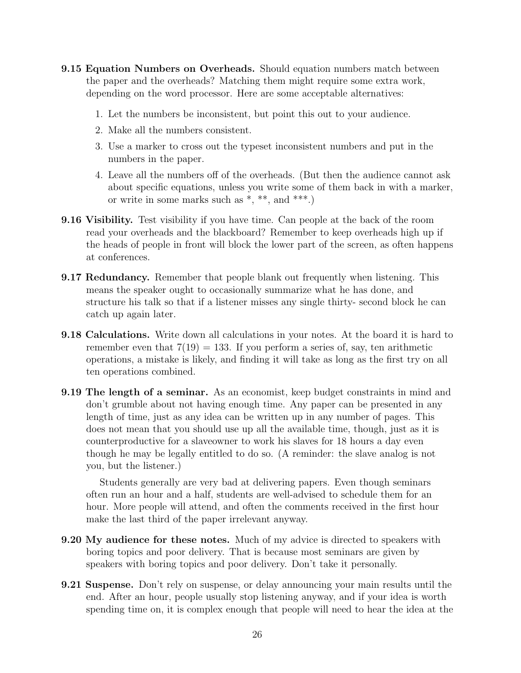- 9.15 Equation Numbers on Overheads. Should equation numbers match between the paper and the overheads? Matching them might require some extra work, depending on the word processor. Here are some acceptable alternatives:
	- 1. Let the numbers be inconsistent, but point this out to your audience.
	- 2. Make all the numbers consistent.
	- 3. Use a marker to cross out the typeset inconsistent numbers and put in the numbers in the paper.
	- 4. Leave all the numbers off of the overheads. (But then the audience cannot ask about specific equations, unless you write some of them back in with a marker, or write in some marks such as \*, \*\*, and \*\*\*.)
- 9.16 Visibility. Test visibility if you have time. Can people at the back of the room read your overheads and the blackboard? Remember to keep overheads high up if the heads of people in front will block the lower part of the screen, as often happens at conferences.
- **9.17 Redundancy.** Remember that people blank out frequently when listening. This means the speaker ought to occasionally summarize what he has done, and structure his talk so that if a listener misses any single thirty- second block he can catch up again later.
- **9.18 Calculations.** Write down all calculations in your notes. At the board it is hard to remember even that  $7(19) = 133$ . If you perform a series of, say, ten arithmetic operations, a mistake is likely, and finding it will take as long as the first try on all ten operations combined.
- **9.19 The length of a seminar.** As an economist, keep budget constraints in mind and don't grumble about not having enough time. Any paper can be presented in any length of time, just as any idea can be written up in any number of pages. This does not mean that you should use up all the available time, though, just as it is counterproductive for a slaveowner to work his slaves for 18 hours a day even though he may be legally entitled to do so. (A reminder: the slave analog is not you, but the listener.)

Students generally are very bad at delivering papers. Even though seminars often run an hour and a half, students are well-advised to schedule them for an hour. More people will attend, and often the comments received in the first hour make the last third of the paper irrelevant anyway.

- 9.20 My audience for these notes. Much of my advice is directed to speakers with boring topics and poor delivery. That is because most seminars are given by speakers with boring topics and poor delivery. Don't take it personally.
- 9.21 Suspense. Don't rely on suspense, or delay announcing your main results until the end. After an hour, people usually stop listening anyway, and if your idea is worth spending time on, it is complex enough that people will need to hear the idea at the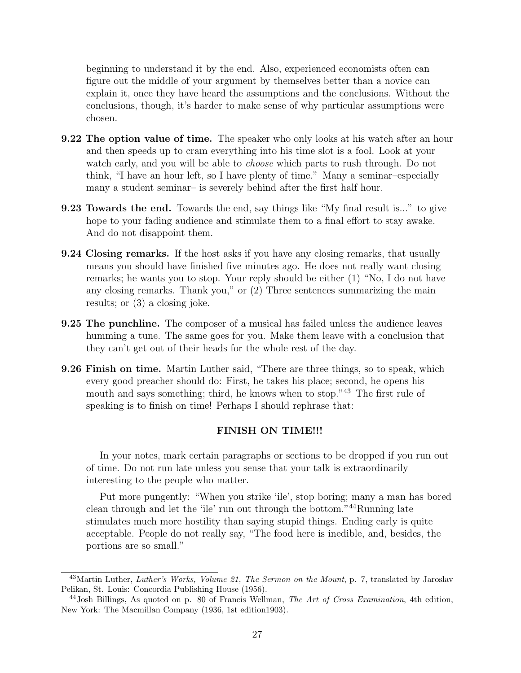beginning to understand it by the end. Also, experienced economists often can figure out the middle of your argument by themselves better than a novice can explain it, once they have heard the assumptions and the conclusions. Without the conclusions, though, it's harder to make sense of why particular assumptions were chosen.

- 9.22 The option value of time. The speaker who only looks at his watch after an hour and then speeds up to cram everything into his time slot is a fool. Look at your watch early, and you will be able to *choose* which parts to rush through. Do not think, "I have an hour left, so I have plenty of time." Many a seminar–especially many a student seminar– is severely behind after the first half hour.
- 9.23 Towards the end. Towards the end, say things like "My final result is..." to give hope to your fading audience and stimulate them to a final effort to stay awake. And do not disappoint them.
- 9.24 Closing remarks. If the host asks if you have any closing remarks, that usually means you should have finished five minutes ago. He does not really want closing remarks; he wants you to stop. Your reply should be either (1) "No, I do not have any closing remarks. Thank you," or (2) Three sentences summarizing the main results; or (3) a closing joke.
- 9.25 The punchline. The composer of a musical has failed unless the audience leaves humming a tune. The same goes for you. Make them leave with a conclusion that they can't get out of their heads for the whole rest of the day.
- 9.26 Finish on time. Martin Luther said, "There are three things, so to speak, which every good preacher should do: First, he takes his place; second, he opens his mouth and says something; third, he knows when to stop.<sup>"43</sup> The first rule of speaking is to finish on time! Perhaps I should rephrase that:

### FINISH ON TIME!!!

In your notes, mark certain paragraphs or sections to be dropped if you run out of time. Do not run late unless you sense that your talk is extraordinarily interesting to the people who matter.

Put more pungently: "When you strike 'ile', stop boring; many a man has bored clean through and let the 'ile' run out through the bottom."<sup>44</sup>Running late stimulates much more hostility than saying stupid things. Ending early is quite acceptable. People do not really say, "The food here is inedible, and, besides, the portions are so small."

 $^{43}$ Martin Luther, Luther's Works, Volume 21, The Sermon on the Mount, p. 7, translated by Jaroslav Pelikan, St. Louis: Concordia Publishing House (1956).

 $^{44}$ Josh Billings, As quoted on p. 80 of Francis Wellman, The Art of Cross Examination, 4th edition, New York: The Macmillan Company (1936, 1st edition1903).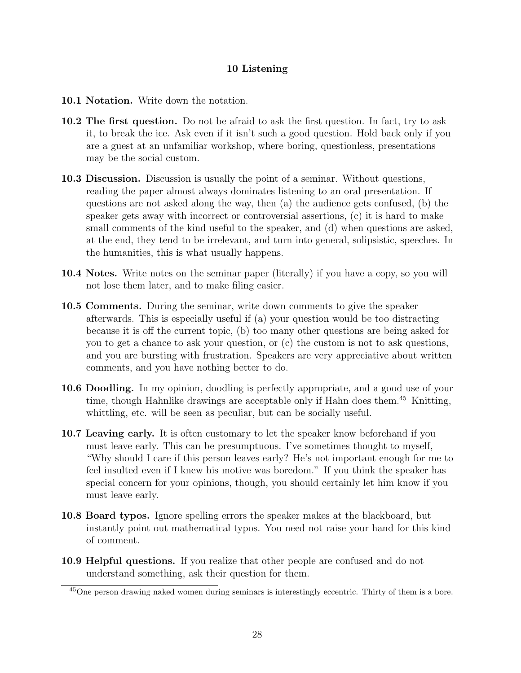# 10 Listening

- 10.1 Notation. Write down the notation.
- 10.2 The first question. Do not be afraid to ask the first question. In fact, try to ask it, to break the ice. Ask even if it isn't such a good question. Hold back only if you are a guest at an unfamiliar workshop, where boring, questionless, presentations may be the social custom.
- 10.3 Discussion. Discussion is usually the point of a seminar. Without questions, reading the paper almost always dominates listening to an oral presentation. If questions are not asked along the way, then (a) the audience gets confused, (b) the speaker gets away with incorrect or controversial assertions, (c) it is hard to make small comments of the kind useful to the speaker, and (d) when questions are asked, at the end, they tend to be irrelevant, and turn into general, solipsistic, speeches. In the humanities, this is what usually happens.
- 10.4 Notes. Write notes on the seminar paper (literally) if you have a copy, so you will not lose them later, and to make filing easier.
- 10.5 Comments. During the seminar, write down comments to give the speaker afterwards. This is especially useful if (a) your question would be too distracting because it is off the current topic, (b) too many other questions are being asked for you to get a chance to ask your question, or (c) the custom is not to ask questions, and you are bursting with frustration. Speakers are very appreciative about written comments, and you have nothing better to do.
- 10.6 Doodling. In my opinion, doodling is perfectly appropriate, and a good use of your time, though Hahnlike drawings are acceptable only if Hahn does them.<sup>45</sup> Knitting, whittling, etc. will be seen as peculiar, but can be socially useful.
- 10.7 Leaving early. It is often customary to let the speaker know beforehand if you must leave early. This can be presumptuous. I've sometimes thought to myself, "Why should I care if this person leaves early? He's not important enough for me to feel insulted even if I knew his motive was boredom." If you think the speaker has special concern for your opinions, though, you should certainly let him know if you must leave early.
- 10.8 Board typos. Ignore spelling errors the speaker makes at the blackboard, but instantly point out mathematical typos. You need not raise your hand for this kind of comment.
- 10.9 Helpful questions. If you realize that other people are confused and do not understand something, ask their question for them.

<sup>45</sup>One person drawing naked women during seminars is interestingly eccentric. Thirty of them is a bore.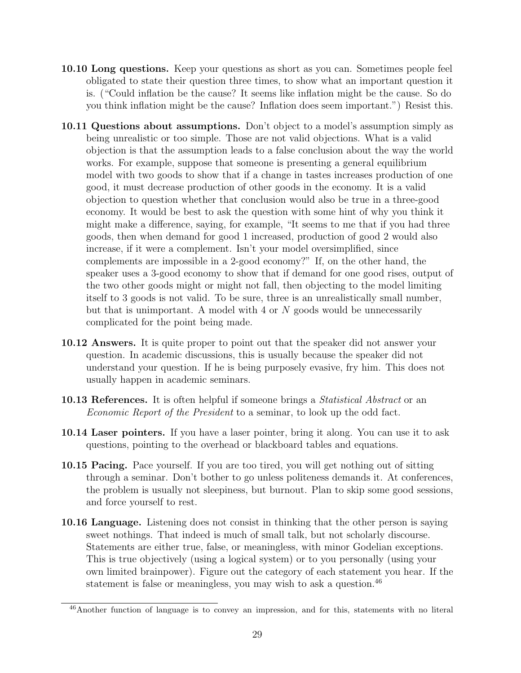- 10.10 Long questions. Keep your questions as short as you can. Sometimes people feel obligated to state their question three times, to show what an important question it is. ("Could inflation be the cause? It seems like inflation might be the cause. So do you think inflation might be the cause? Inflation does seem important.") Resist this.
- 10.11 Questions about assumptions. Don't object to a model's assumption simply as being unrealistic or too simple. Those are not valid objections. What is a valid objection is that the assumption leads to a false conclusion about the way the world works. For example, suppose that someone is presenting a general equilibrium model with two goods to show that if a change in tastes increases production of one good, it must decrease production of other goods in the economy. It is a valid objection to question whether that conclusion would also be true in a three-good economy. It would be best to ask the question with some hint of why you think it might make a difference, saying, for example, "It seems to me that if you had three goods, then when demand for good 1 increased, production of good 2 would also increase, if it were a complement. Isn't your model oversimplified, since complements are impossible in a 2-good economy?" If, on the other hand, the speaker uses a 3-good economy to show that if demand for one good rises, output of the two other goods might or might not fall, then objecting to the model limiting itself to 3 goods is not valid. To be sure, three is an unrealistically small number, but that is unimportant. A model with  $4 \text{ or } N$  goods would be unnecessarily complicated for the point being made.
- 10.12 Answers. It is quite proper to point out that the speaker did not answer your question. In academic discussions, this is usually because the speaker did not understand your question. If he is being purposely evasive, fry him. This does not usually happen in academic seminars.
- **10.13 References.** It is often helpful if someone brings a *Statistical Abstract* or an Economic Report of the President to a seminar, to look up the odd fact.
- 10.14 Laser pointers. If you have a laser pointer, bring it along. You can use it to ask questions, pointing to the overhead or blackboard tables and equations.
- 10.15 Pacing. Pace yourself. If you are too tired, you will get nothing out of sitting through a seminar. Don't bother to go unless politeness demands it. At conferences, the problem is usually not sleepiness, but burnout. Plan to skip some good sessions, and force yourself to rest.
- 10.16 Language. Listening does not consist in thinking that the other person is saying sweet nothings. That indeed is much of small talk, but not scholarly discourse. Statements are either true, false, or meaningless, with minor Godelian exceptions. This is true objectively (using a logical system) or to you personally (using your own limited brainpower). Figure out the category of each statement you hear. If the statement is false or meaningless, you may wish to ask a question.<sup>46</sup>

<sup>46</sup>Another function of language is to convey an impression, and for this, statements with no literal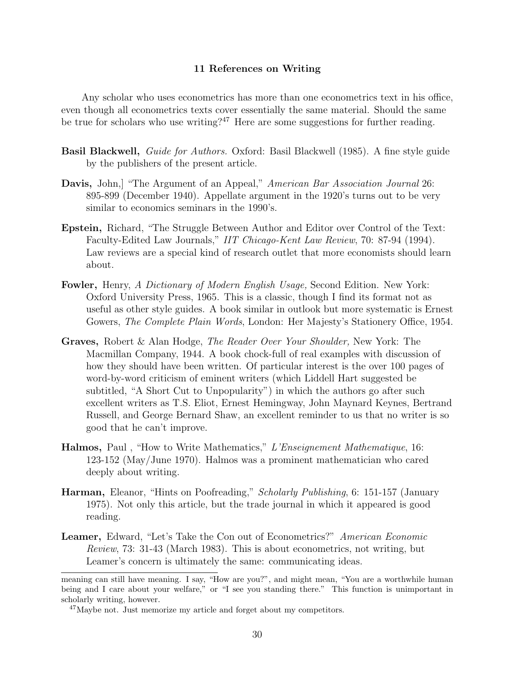#### 11 References on Writing

Any scholar who uses econometrics has more than one econometrics text in his office, even though all econometrics texts cover essentially the same material. Should the same be true for scholars who use writing?<sup>47</sup> Here are some suggestions for further reading.

- Basil Blackwell, Guide for Authors. Oxford: Basil Blackwell (1985). A fine style guide by the publishers of the present article.
- Davis, John, "The Argument of an Appeal," American Bar Association Journal 26: 895-899 (December 1940). Appellate argument in the 1920's turns out to be very similar to economics seminars in the 1990's.
- Epstein, Richard, "The Struggle Between Author and Editor over Control of the Text: Faculty-Edited Law Journals," IIT Chicago-Kent Law Review, 70: 87-94 (1994). Law reviews are a special kind of research outlet that more economists should learn about.
- Fowler, Henry, A Dictionary of Modern English Usage, Second Edition. New York: Oxford University Press, 1965. This is a classic, though I find its format not as useful as other style guides. A book similar in outlook but more systematic is Ernest Gowers, *The Complete Plain Words*, London: Her Majesty's Stationery Office, 1954.
- Graves, Robert & Alan Hodge, The Reader Over Your Shoulder, New York: The Macmillan Company, 1944. A book chock-full of real examples with discussion of how they should have been written. Of particular interest is the over 100 pages of word-by-word criticism of eminent writers (which Liddell Hart suggested be subtitled, "A Short Cut to Unpopularity") in which the authors go after such excellent writers as T.S. Eliot, Ernest Hemingway, John Maynard Keynes, Bertrand Russell, and George Bernard Shaw, an excellent reminder to us that no writer is so good that he can't improve.
- Halmos, Paul, "How to Write Mathematics," L'Enseignement Mathematique, 16: 123-152 (May/June 1970). Halmos was a prominent mathematician who cared deeply about writing.
- Harman, Eleanor, "Hints on Poofreading," Scholarly Publishing, 6: 151-157 (January 1975). Not only this article, but the trade journal in which it appeared is good reading.
- Leamer, Edward, "Let's Take the Con out of Econometrics?" American Economic Review, 73: 31-43 (March 1983). This is about econometrics, not writing, but Leamer's concern is ultimately the same: communicating ideas.

meaning can still have meaning. I say, "How are you?", and might mean, "You are a worthwhile human being and I care about your welfare," or "I see you standing there." This function is unimportant in scholarly writing, however.

<sup>&</sup>lt;sup>47</sup>Maybe not. Just memorize my article and forget about my competitors.